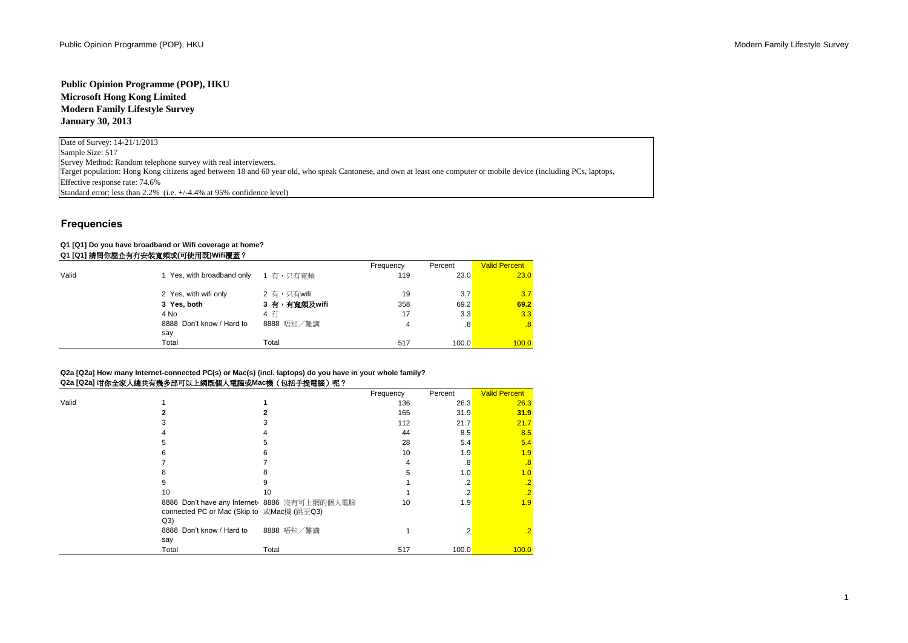# **Public Opinion Programme (POP), HKU Microsoft Hong Kong Limited Modern Family Lifestyle Survey January 30, 2013**

Date of Survey: 14-21/1/2013 Sample Size: 517 Survey Method: Random telephone survey with real interviewers. Effective response rate: 74.6% Standard error: less than 2.2% (i.e.  $+/4.4%$  at 95% confidence level) Target population: Hong Kong citizens aged between 18 and 60 year old, who speak Cantonese, and own at least one computer or mobile device (including PCs, laptops,

# **Frequencies**

### **Q1 [Q1] Do you have broadband or Wifi coverage at home? Q1 [Q1]** 請問你屋企有冇安裝寬頻或**(**可使用既**)Wifi**覆蓋?

|       |                                  |              | Frequency | Percent | <b>Valid Percent</b> |
|-------|----------------------------------|--------------|-----------|---------|----------------------|
| Valid | Yes, with broadband only         | 1 有,只有寬頻     | 119       | 23.0    | 23.0                 |
|       | 2 Yes, with wifi only            | 2 有,只有wifi   | 19        | 3.7     | 3.7                  |
|       | 3 Yes, both                      | 3 有,有寬頻及wifi | 358       | 69.2    | 69.2                 |
|       | 4 No                             | 4 右          | 17        | 3.3     | 3.3                  |
|       | 8888 Don't know / Hard to<br>say | 8888 唔知/難講   | 4         | .8      | .8                   |
|       | Total                            | Total        | 517       | 100.0   | 100.0                |

## **Q2a [Q2a] How many Internet-connected PC(s) or Mac(s) (incl. laptops) do you have in your whole family? Q2a [Q2a]** 咁你全家人總共有幾多部可以上網既個人電腦或**Mac**機(包括手提電腦)呢?

|       |                                                                                                   |            | Frequency | Percent | <b>Valid Percent</b> |
|-------|---------------------------------------------------------------------------------------------------|------------|-----------|---------|----------------------|
| Valid |                                                                                                   |            | 136       | 26.3    | 26.3                 |
|       |                                                                                                   |            | 165       | 31.9    | 31.9                 |
|       |                                                                                                   |            | 112       | 21.7    | 21.7                 |
|       |                                                                                                   |            | 44        | 8.5     | 8.5                  |
|       |                                                                                                   |            | 28        | 5.4     | 5.4                  |
|       |                                                                                                   |            | 10        | 1.9     | 1.9                  |
|       |                                                                                                   |            |           | .8      | $\overline{.8}$      |
|       |                                                                                                   |            | 5         | 1.0     | 1.0                  |
|       | 9                                                                                                 |            |           |         | $\overline{.2}$      |
|       | 10                                                                                                | 10         |           |         | $\overline{.2}$      |
|       | 8886 Don't have any Internet- 8886 沒有可上網的個人電腦<br>connected PC or Mac (Skip to 或Mac機 (跳至Q3)<br>Q3) |            | 10        | 1.9     | 1.9                  |
|       | 8888 Don't know / Hard to                                                                         | 8888 唔知/難講 |           | .2      | $\cdot$ .2           |
|       | say<br>Total                                                                                      | Total      | 517       | 100.0   | 100.0                |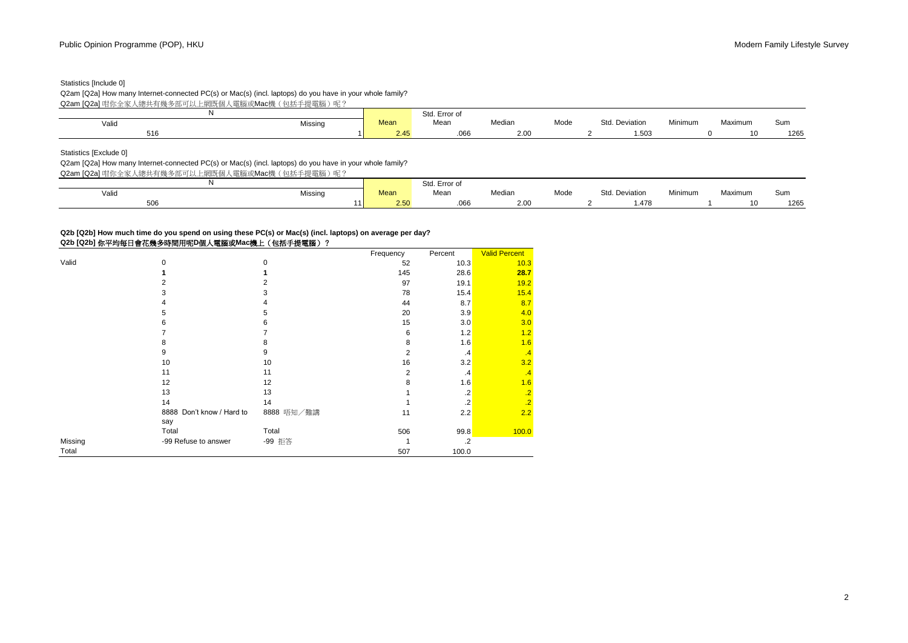# Statistics [Include 0]

Q2am [Q2a] How many Internet-connected PC(s) or Mac(s) (incl. laptops) do you have in your whole family?

Q2am [Q2a] 咁你全家人總共有幾多部可以上網既個人電腦或Mac機(包括手提電腦)呢?

|       |         |      | Std. Error of                                                                                                                             |                          |      |                |         |         |                       |
|-------|---------|------|-------------------------------------------------------------------------------------------------------------------------------------------|--------------------------|------|----------------|---------|---------|-----------------------|
| Valio | Missing | Mean | Mean<br>$\label{eq:1.1} \begin{array}{ll} \mathcal{L} & \mathcal{L} & \mathcal{L} \\ \mathcal{L} & \mathcal{L} & \mathcal{L} \end{array}$ | Median                   | Mode | Std. Deviation | Minimum | Maximum | Sun.<br>$\sim$ $\sim$ |
| 516   |         | 2.45 | .066                                                                                                                                      | $\sim$ $\sim$<br>$-.$ u' |      | 1.50           |         |         | 1265                  |

Statistics [Exclude 0]

Q2am [Q2a] How many Internet-connected PC(s) or Mac(s) (incl. laptops) do you have in your whole family?

Q2am [Q2a] 咁你全家人總共有幾多部可以上網既個人電腦或Mac機(包括手提電腦)呢?

|       |         |      | Std. Error of |        |      |                |         |         |      |
|-------|---------|------|---------------|--------|------|----------------|---------|---------|------|
| Valid | Missing | Mean | Mean          | Median | Mode | Std. Deviation | Minimum | Maximum | Sum  |
| 506   |         | 2.50 | .uoo          | 2.00   |      | .478،          |         | 10      | 1265 |

## **Q2b [Q2b] How much time do you spend on using these PC(s) or Mac(s) (incl. laptops) on average per day? Q2b [Q2b]** 你平均每日會花幾多時間用呢**D**個人電腦或**Mac**機上(包括手提電腦)?

|         |                           |             | Frequency      | Percent        | <b>Valid Percent</b> |
|---------|---------------------------|-------------|----------------|----------------|----------------------|
| Valid   | $\mathbf 0$               | $\mathbf 0$ | 52             | 10.3           | 10.3                 |
|         |                           |             | 145            | 28.6           | 28.7                 |
|         |                           | 2           | 97             | 19.1           | 19.2                 |
|         | 3                         | 3           | 78             | 15.4           | 15.4                 |
|         |                           | 4           | 44             | 8.7            | 8.7                  |
|         | 5                         | 5           | 20             | 3.9            | 4.0                  |
|         | 6                         | 6           | 15             | 3.0            | 3.0                  |
|         |                           |             | 6              | 1.2            | 1.2                  |
|         | 8                         | 8           | 8              | 1.6            | 1.6                  |
|         | 9                         | 9           | $\overline{2}$ | $\cdot$ 4      | $\cdot$ 4            |
|         | 10                        | 10          | 16             | 3.2            | 3.2                  |
|         | 11                        | 11          | 2              | $\cdot$        | .4                   |
|         | 12                        | 12          | 8              | 1.6            | 1.6                  |
|         | 13                        | 13          |                | .2             | .2                   |
|         | 14                        | 14          |                | $\overline{2}$ | $\overline{.2}$      |
|         | 8888 Don't know / Hard to | 8888 唔知/難講  | 11             | 2.2            | 2.2                  |
|         | say                       |             |                |                |                      |
|         | Total                     | Total       | 506            | 99.8           | 100.0                |
| Missing | -99 Refuse to answer      | -99 拒答      |                | $\cdot$        |                      |
| Total   |                           |             | 507            | 100.0          |                      |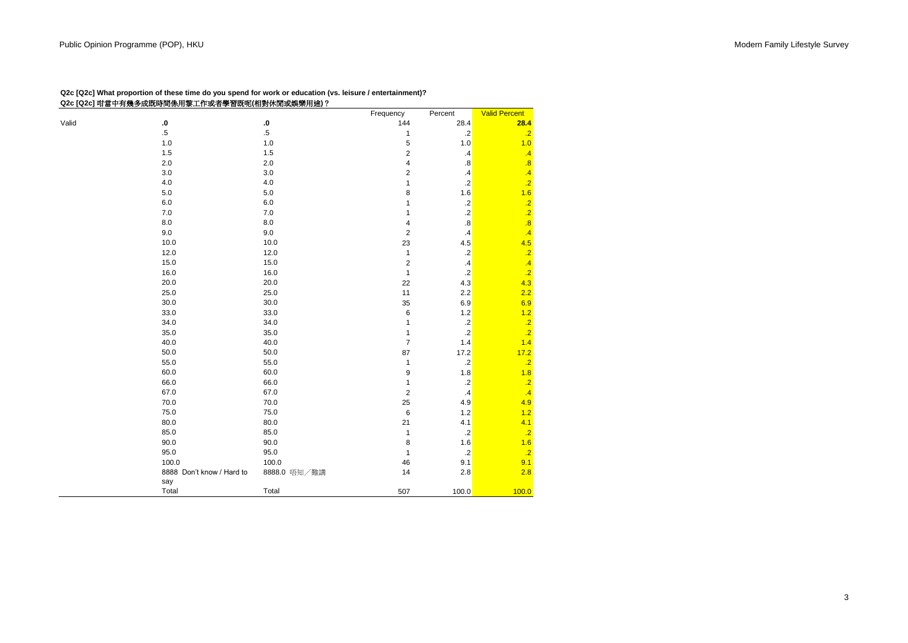| Q2c [Q2c] What proportion of these time do you spend for work or education (vs. leisure / entertainment)? |  |
|-----------------------------------------------------------------------------------------------------------|--|
| Q2c [Q2c] 咁當中有幾多成既時間係用黎工作或者學習既呢(相對休閒或娛樂用途)?                                                               |  |

|       |                           |              | Frequency      | Percent           | <b>Valid Percent</b> |
|-------|---------------------------|--------------|----------------|-------------------|----------------------|
| Valid | ${\bf .0}$                | ${\bf .0}$   | 144            | 28.4              | 28.4                 |
|       | $.5\,$                    | $.5\,$       | 1              | $\cdot$ .2        | $\cdot$ .2           |
|       | 1.0                       | 1.0          | 5              | 1.0               | 1.0                  |
|       | 1.5                       | 1.5          | $\overline{c}$ | $\cdot$           | $\overline{.4}$      |
|       | 2.0                       | 2.0          | 4              | $\boldsymbol{.8}$ | $\overline{.8}$      |
|       | 3.0                       | 3.0          | $\overline{2}$ | $\cdot$ 4         | $\overline{.4}$      |
|       | 4.0                       | 4.0          | 1              | $\overline{2}$    | $\overline{.2}$      |
|       | 5.0                       | 5.0          | 8              | 1.6               | 1.6                  |
|       | 6.0                       | $6.0\,$      | 1              | $.2\,$            | $\overline{.2}$      |
|       | 7.0                       | 7.0          | 1              | $\cdot$           | $\overline{.2}$      |
|       | 8.0                       | 8.0          | 4              | $\boldsymbol{.8}$ | $\overline{.8}$      |
|       | 9.0                       | 9.0          | $\overline{2}$ | .4                | .4                   |
|       | 10.0                      | 10.0         | 23             | 4.5               | 4.5                  |
|       | 12.0                      | 12.0         | 1              | $.2\,$            | $\overline{.2}$      |
|       | 15.0                      | 15.0         | $\overline{c}$ | $\cdot$           | $\overline{.4}$      |
|       | 16.0                      | 16.0         | 1              | $\cdot$ .2        | $\overline{.2}$      |
|       | 20.0                      | 20.0         | 22             | 4.3               | 4.3                  |
|       | 25.0                      | 25.0         | 11             | 2.2               | 2.2                  |
|       | 30.0                      | 30.0         | 35             | 6.9               | 6.9                  |
|       | 33.0                      | 33.0         | 6              | $1.2$             | 1.2                  |
|       | 34.0                      | 34.0         | 1              | $\cdot$           | $\overline{.2}$      |
|       | 35.0                      | 35.0         | 1              | $\cdot$ .2        | $\overline{.2}$      |
|       | 40.0                      | 40.0         | $\overline{7}$ | 1.4               | 1.4                  |
|       | 50.0                      | 50.0         | 87             | 17.2              | 17.2                 |
|       | 55.0                      | 55.0         | 1              | $.2\,$            | $\cdot$ .2           |
|       | 60.0                      | 60.0         | 9              | 1.8               | 1.8                  |
|       | 66.0                      | 66.0         | 1              | $.2\,$            | $\cdot$ .2           |
|       | 67.0                      | 67.0         | $\overline{c}$ | $\cdot$ 4         | $\overline{.4}$      |
|       | 70.0                      | 70.0         | 25             | 4.9               | 4.9                  |
|       | 75.0                      | 75.0         | $\,6\,$        | 1.2               | 1.2                  |
|       | 80.0                      | 80.0         | 21             | 4.1               | 4.1                  |
|       | 85.0                      | 85.0         | 1              | $\cdot$           | $\cdot$ .2           |
|       | 90.0                      | 90.0         | 8              | 1.6               | 1.6                  |
|       | 95.0                      | 95.0         | 1              | $\cdot$ .2        | $\overline{.2}$      |
|       | 100.0                     | 100.0        | 46             | 9.1               | 9.1                  |
|       | 8888 Don't know / Hard to | 8888.0 唔知/難講 | 14             | 2.8               | 2.8                  |
|       | say                       |              |                |                   |                      |
|       | Total                     | Total        | 507            | 100.0             | 100.0                |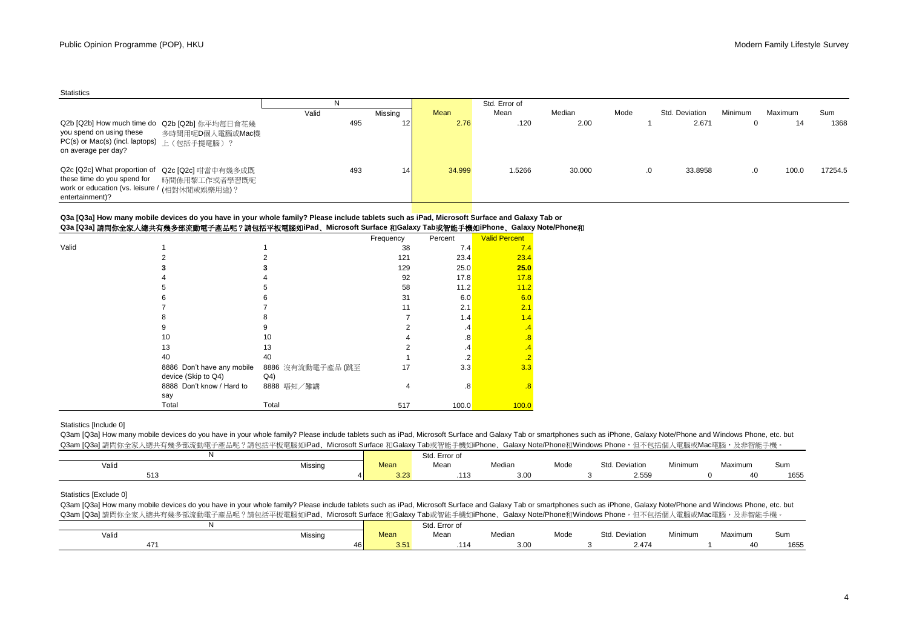|                                                                                                                                                                                 | ΙN    |                 |        | Std. Error of |        |      |                |                |         |         |
|---------------------------------------------------------------------------------------------------------------------------------------------------------------------------------|-------|-----------------|--------|---------------|--------|------|----------------|----------------|---------|---------|
|                                                                                                                                                                                 | Valid | Missing         | Mean   | Mean          | Median | Mode | Std. Deviation | <b>Minimum</b> | Maximum | Sum     |
| Q2b [Q2b] How much time do Q2b [Q2b] 你平均每日會花幾<br>you spend on using these<br>多時間用呢D個人電腦或Mac機<br>PC(s) or Mac(s) (incl. laptops) 上 (包括手提電腦)?<br>on average per day?              | 495   | 12 <sub>l</sub> | 2.76   | .120          | 2.00   |      | 2.671          |                | 14      | 1368    |
| Q2c [Q2c] What proportion of Q2c [Q2c] 咁當中有幾多成既<br>these time do you spend for<br>時間係用黎工作或者學習既呢<br>work or education (vs. leisure / <sub>(相對休閒或娛樂用途)</sub> ?<br>entertainment)? | 493   | 14              | 34.999 | 1.5266        | 30.000 |      | 33.8958        |                | 100.0   | 17254.5 |

#### **Q3a [Q3a]** 請問你全家人總共有幾多部流動電子產品呢?請包括平板電腦如**iPad**﹑**Microsoft Surface** 和**Galaxy Tab**或智能手機如**iPhone**﹑**Galaxy Note/Phone**和 **Q3a [Q3a] How many mobile devices do you have in your whole family? Please include tablets such as iPad, Microsoft Surface and Galaxy Tab or**

|       | Q34 [Q34] 萌问价王豕八概六月戏夕叩爪勤电丁座叩咒:萌巴拍十仅电脑知Irau、Microsoft Surface 们Oalaxy Tabax曾能于恢知IrfiOlie、Oalaxy NO |                   |           |         |                      |  |
|-------|---------------------------------------------------------------------------------------------------|-------------------|-----------|---------|----------------------|--|
|       |                                                                                                   |                   | Frequency | Percent | <b>Valid Percent</b> |  |
| Valid |                                                                                                   |                   | 38        | 7.4     | 7.4                  |  |
|       |                                                                                                   |                   | 121       | 23.4    | 23.4                 |  |
|       |                                                                                                   |                   | 129       | 25.0    | 25.0                 |  |
|       |                                                                                                   |                   | 92        | 17.8    | 17.8                 |  |
|       |                                                                                                   |                   | 58        | 11.2    | 11.2                 |  |
|       |                                                                                                   |                   | 31        | 6.0     | 6.0                  |  |
|       |                                                                                                   |                   | 11        | 2.1     | 2.1                  |  |
|       |                                                                                                   |                   |           | 1.4     | 1.4                  |  |
|       |                                                                                                   |                   |           | .4      | $\cdot$ 4            |  |
|       | 10                                                                                                | 10                |           | .8      | .8                   |  |
|       | 13                                                                                                | 13                |           | .4      | .4                   |  |
|       | 40                                                                                                | 40                |           |         | $\overline{2}$       |  |
|       | 8886 Don't have any mobile                                                                        | 8886 沒有流動電子產品 (跳至 | 17        | 3.3     | 3.3                  |  |
|       | device (Skip to Q4)                                                                               | Q4)               |           |         |                      |  |
|       | 8888 Don't know / Hard to                                                                         | 8888 唔知/難講        | 4         | .8      | .8                   |  |
|       | say                                                                                               |                   |           |         |                      |  |
|       | Total                                                                                             | Total             | 517       | 100.0   | 100.0                |  |

## Statistics [Include 0]

Q3am [Q3a] How many mobile devices do you have in your whole family? Please include tablets such as iPad, Microsoft Surface and Galaxy Tab or smartphones such as iPhone, Galaxy Note/Phone and Windows Phone, etc. but Q3am [Q3a] 請問你全家人總共有幾多部流動電子產品呢?請包括平板電腦如iPad、Microsoft Surface 和Galaxy Tab或智能手機如iPhone、Galaxy Note/Phone和Windows Phone,但不包括個人電腦或Mac電腦,及非智能手機。

|            |         |              | Std. Error of |        |      |                     |         |         |      |
|------------|---------|--------------|---------------|--------|------|---------------------|---------|---------|------|
| Valid      | Missing | <b>Mean</b>  | Mean          | Median | Mode | Std.<br>. Deviation | Minimum | Maximum | Sum  |
| -40<br>513 |         | 2.25<br>3.23 | .<br>ن ۱۰۱    | 3.00   |      | 2.559               |         |         | 1655 |

# Statistics [Exclude 0]

Q3am [Q3a] How many mobile devices do you have in your whole family? Please include tablets such as iPad, Microsoft Surface and Galaxy Tab or smartphones such as iPhone, Galaxy Note/Phone and Windows Phone, etc. but Q3am [Q3a] 請問你全家人總共有幾多部流動電子產品呢?請包括平板電腦如iPad、Microsoft Surface 和Galaxy Tab或智能手機如iPhone、Galaxy Note/Phone和Windows Phone,但不包括個人電腦或Mac電腦,及非智能手機。

|       |         |                     | $C+$<br>Std. Error of |        |                                             |                |         |         |      |
|-------|---------|---------------------|-----------------------|--------|---------------------------------------------|----------------|---------|---------|------|
| Valic | Missino | Mean                | Mear                  | Median | Mode<br>the contract of the contract of the | Std. Deviation | Minimum | Maximum | Sum  |
| 47    | 46 I    | $\sim$ $-$<br>3.D I | 114.                  | 3.00   |                                             | 2.47'          |         |         | 1655 |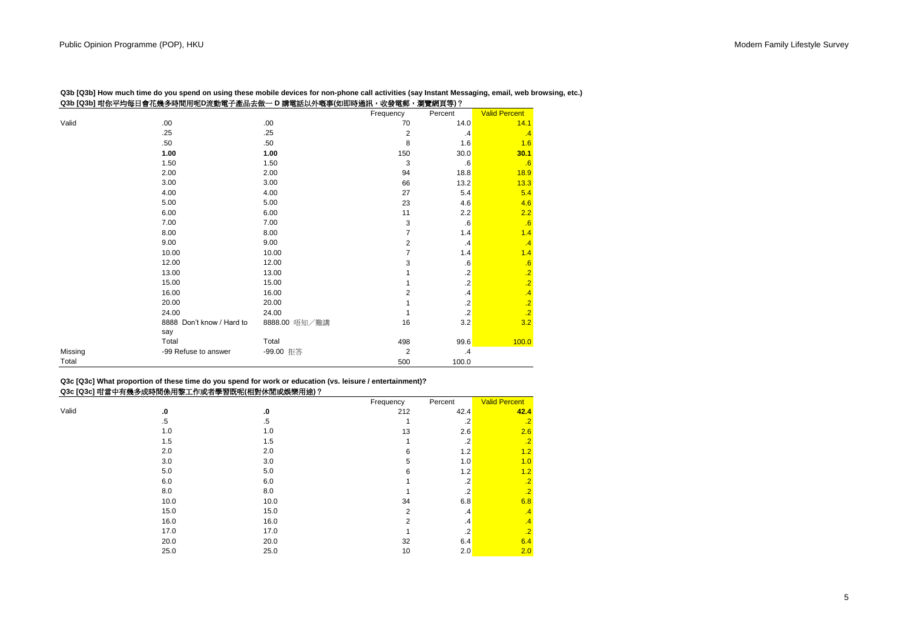|         | Q3b [Q3b] 咁你平均每日會花幾多時間用呢D流動電子產品去做一 D 講電話以外嘅事(如即時通訊,收發電郵, |               |                | 瀏覽網頁等)?   |                      |
|---------|----------------------------------------------------------|---------------|----------------|-----------|----------------------|
|         |                                                          |               | Frequency      | Percent   | <b>Valid Percent</b> |
| Valid   | .00                                                      | .00.          | 70             | 14.0      | 14.1                 |
|         | .25                                                      | .25           | $\overline{2}$ | $\cdot$   | $\cdot$ <sup>4</sup> |
|         | .50                                                      | .50           | 8              | 1.6       | 1.6                  |
|         | 1.00                                                     | 1.00          | 150            | 30.0      | 30.1                 |
|         | 1.50                                                     | 1.50          | 3              | .6        | .6                   |
|         | 2.00                                                     | 2.00          | 94             | 18.8      | 18.9                 |
|         | 3.00                                                     | 3.00          | 66             | 13.2      | 13.3                 |
|         | 4.00                                                     | 4.00          | 27             | 5.4       | 5.4                  |
|         | 5.00                                                     | 5.00          | 23             | 4.6       | 4.6                  |
|         | 6.00                                                     | 6.00          | 11             | 2.2       | 2.2                  |
|         | 7.00                                                     | 7.00          | 3              | .6        | .6                   |
|         | 8.00                                                     | 8.00          | $\overline{7}$ | 1.4       | 1.4                  |
|         | 9.00                                                     | 9.00          | $\overline{2}$ | $\cdot$   | $\cdot$ 4            |
|         | 10.00                                                    | 10.00         | 7              | 1.4       | 1.4                  |
|         | 12.00                                                    | 12.00         | 3              | .6        | .6                   |
|         | 13.00                                                    | 13.00         |                | .2        | $\overline{.2}$      |
|         | 15.00                                                    | 15.00         |                | $\cdot$   | $\overline{.2}$      |
|         | 16.00                                                    | 16.00         | $\overline{2}$ | $\cdot$ 4 | .4                   |
|         | 20.00                                                    | 20.00         |                | $\cdot$   | $\overline{.2}$      |
|         | 24.00                                                    | 24.00         |                | $\cdot$   | $\overline{2}$       |
|         | 8888 Don't know / Hard to                                | 8888.00 唔知/難講 | 16             | 3.2       | 3.2                  |
|         | say                                                      |               |                |           |                      |
|         | Total                                                    | Total         | 498            | 99.6      | 100.0                |
| Missing | -99 Refuse to answer                                     | -99.00 拒答     | $\overline{2}$ | $\cdot$   |                      |
| Total   |                                                          |               | 500            | 100.0     |                      |

**Q3b [Q3b] How much time do you spend on using these mobile devices for non-phone call activities (say Instant Messaging, email, web browsing, etc.)**

## **Q3c [Q3c] What proportion of these time do you spend for work or education (vs. leisure / entertainment)? Q3c [Q3c]** 咁當中有幾多成時間係用黎工作或者學習既呢**(**相對休閒或娛樂用途**)**?

|       |        |        | Frequency      | Percent              | <b>Valid Percent</b> |
|-------|--------|--------|----------------|----------------------|----------------------|
| Valid | .0     | .0     | 212            | 42.4                 | 42.4                 |
|       | $.5\,$ | $.5\,$ |                | $\cdot$              | $\cdot$ <sub>2</sub> |
|       | 1.0    | 1.0    | 13             | 2.6                  | 2.6                  |
|       | 1.5    | 1.5    |                | $\cdot$              | $\cdot$ <sub>2</sub> |
|       | 2.0    | 2.0    | 6              | 1.2                  | 1.2                  |
|       | 3.0    | 3.0    | 5              | 1.0                  | 1.0                  |
|       | 5.0    | 5.0    | 6              | 1.2                  | 1.2                  |
|       | 6.0    | 6.0    |                | $\cdot$              | $\cdot$              |
|       | 8.0    | 8.0    |                | $\cdot$ <sup>2</sup> | $\cdot$              |
|       | 10.0   | 10.0   | 34             | 6.8                  | 6.8                  |
|       | 15.0   | 15.0   | $\overline{2}$ | $\cdot$              | $\cdot$ <sup>4</sup> |
|       | 16.0   | 16.0   | $\overline{2}$ | $\cdot$              | $\cdot$ <sup>4</sup> |
|       | 17.0   | 17.0   |                | $\cdot$ .2           | $\cdot$              |
|       | 20.0   | 20.0   | 32             | 6.4                  | 6.4                  |
|       | 25.0   | 25.0   | 10             | 2.0                  | 2.0                  |
|       |        |        |                |                      |                      |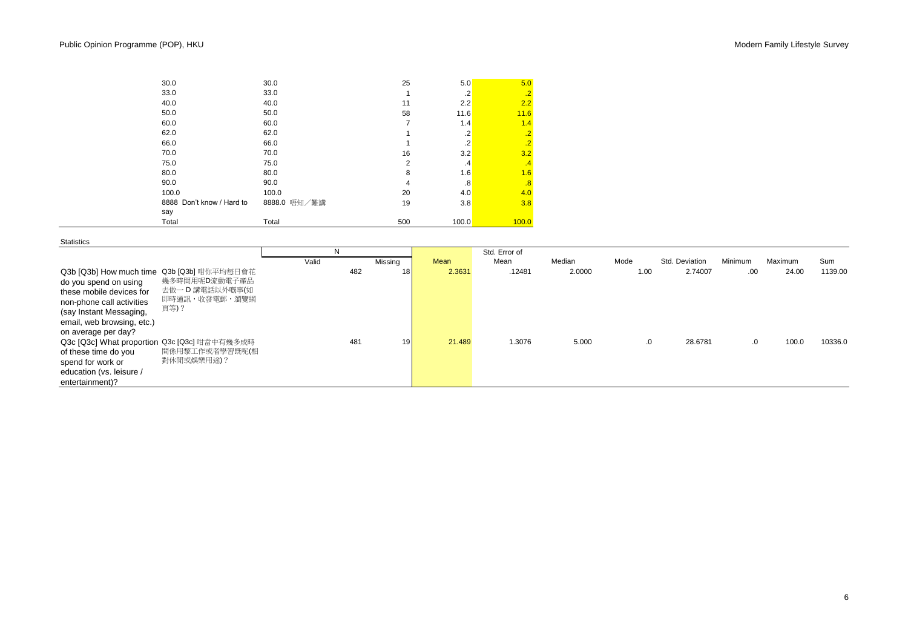| 30.0                      | 30.0         | 25             | 5.0               | 5.0                  |
|---------------------------|--------------|----------------|-------------------|----------------------|
| 33.0                      | 33.0         | 1              | $\cdot$           | $\cdot$ .2           |
| 40.0                      | 40.0         | 11             | 2.2               | 2.2                  |
| 50.0                      | 50.0         | 58             | 11.6              | 11.6                 |
| 60.0                      | 60.0         | $\overline{7}$ | 1.4               | 1.4                  |
| 62.0                      | 62.0         | 1              | .2                | $\cdot$ .2           |
| 66.0                      | 66.0         | 4              | $\cdot$           | $\overline{.2}$      |
| 70.0                      | 70.0         | 16             | 3.2               | 3.2                  |
| 75.0                      | 75.0         | $\overline{2}$ | $\cdot$           | $\cdot$ <sup>4</sup> |
| 80.0                      | 80.0         | 8              | 1.6               | 1.6                  |
| 90.0                      | 90.0         | 4              | $\boldsymbol{.8}$ | .8                   |
| 100.0                     | 100.0        | 20             | 4.0               | 4.0                  |
| 8888 Don't know / Hard to | 8888.0 唔知/難講 | 19             | 3.8               | 3.8                  |
| say                       |              |                |                   |                      |
| Total                     | Total        | 500            | 100.0             | 100.0                |

**Statistics** 

|                                                                                                                                                                                                                      |                                                   | N     |     |         |        | Std. Error of |        |      |                |         |         |         |
|----------------------------------------------------------------------------------------------------------------------------------------------------------------------------------------------------------------------|---------------------------------------------------|-------|-----|---------|--------|---------------|--------|------|----------------|---------|---------|---------|
|                                                                                                                                                                                                                      |                                                   | Valid |     | Missing | Mean   | Mean          | Median | Mode | Std. Deviation | Minimum | Maximum | Sum     |
| Q3b [Q3b] How much time Q3b [Q3b] 咁你平均每日會花<br>do you spend on using<br>these mobile devices for<br>non-phone call activities<br>頁等)?<br>(say Instant Messaging,<br>email, web browsing, etc.)<br>on average per day? | 幾多時間用呢D流動電子產品<br>去做一 D 講電話以外嘅事(如<br>即時通訊,收發電郵,瀏覽網 |       | 482 | 18      | 2.3631 | .12481        | 2.0000 | 1.00 | 2.74007        | .00     | 24.00   | 1139.00 |
| Q3c [Q3c] What proportion Q3c [Q3c] 咁當中有幾多成時<br>of these time do you<br>spend for work or<br>education (vs. leisure /<br>entertainment)?                                                                             | 間係用黎工作或者學習既呢(相<br>對休閒或娛樂用途)?                      |       | 481 | 19      | 21.489 | 1.3076        | 5.000  | .0   | 28.6781        | .0      | 100.0   | 10336.0 |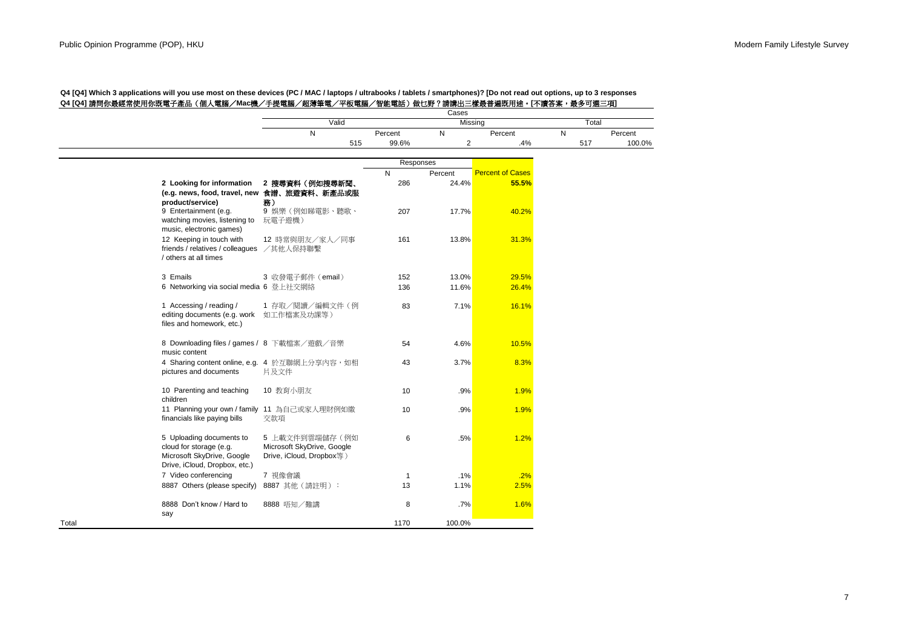|       |                                                                                                                    | Cases<br>Valid<br>Missing                                                |                  |         | Total                   |     |         |  |
|-------|--------------------------------------------------------------------------------------------------------------------|--------------------------------------------------------------------------|------------------|---------|-------------------------|-----|---------|--|
|       |                                                                                                                    | N                                                                        |                  | N       |                         | N   | Percent |  |
|       |                                                                                                                    | 515                                                                      | Percent<br>99.6% | 2       | Percent<br>.4%          | 517 | 100.0%  |  |
|       |                                                                                                                    |                                                                          |                  |         |                         |     |         |  |
|       |                                                                                                                    |                                                                          | Responses        |         |                         |     |         |  |
|       |                                                                                                                    |                                                                          | N                | Percent | <b>Percent of Cases</b> |     |         |  |
|       | 2 Looking for information<br>product/service)                                                                      | 2 搜尋資料 (例如搜尋新聞、<br>(e.g. news, food, travel, new 食譜、旅遊資料、新產品或服<br>務)     | 286              | 24.4%   | 55.5%                   |     |         |  |
|       | 9 Entertainment (e.g.<br>watching movies, listening to<br>music, electronic games)                                 | 9 娛樂 (例如睇電影、聽歌、<br>玩電子遊機)                                                | 207              | 17.7%   | 40.2%                   |     |         |  |
|       | 12 Keeping in touch with<br>friends / relatives / colleagues<br>/ others at all times                              | 12 時常與朋友/家人/同事<br>/其他人保持聯繫                                               | 161              | 13.8%   | 31.3%                   |     |         |  |
|       | 3 Emails                                                                                                           | 3 收發電子郵件 (email)                                                         | 152              | 13.0%   | 29.5%                   |     |         |  |
|       | 6 Networking via social media 6 登上社交網絡                                                                             |                                                                          | 136              | 11.6%   | 26.4%                   |     |         |  |
|       | 1 Accessing / reading /<br>editing documents (e.g. work<br>files and homework, etc.)                               | 1 存取/閱讀/編輯文件(例<br>如工作檔案及功課等)                                             | 83               | 7.1%    | 16.1%                   |     |         |  |
|       | 8 Downloading files / games / 8 下載檔案/遊戲/音樂<br>music content                                                        |                                                                          | 54               | 4.6%    | 10.5%                   |     |         |  |
|       | pictures and documents                                                                                             | 4 Sharing content online, e.g. 4 於互聯網上分享內容, 如相<br>片及文件                   | 43               | 3.7%    | 8.3%                    |     |         |  |
|       | 10 Parenting and teaching<br>children                                                                              | 10 教育小朋友                                                                 | 10               | .9%     | 1.9%                    |     |         |  |
|       | 11 Planning your own / family 11 為自己或家人理財例如繳<br>financials like paying bills                                       | 交款項                                                                      | 10               | .9%     | 1.9%                    |     |         |  |
|       | 5 Uploading documents to<br>cloud for storage (e.g.<br>Microsoft SkyDrive, Google<br>Drive, iCloud, Dropbox, etc.) | 5 上載文件到雲端儲存(例如<br>Microsoft SkyDrive, Google<br>Drive, iCloud, Dropbox等) | 6                | .5%     | 1.2%                    |     |         |  |
|       | 7 Video conferencing                                                                                               | 7 視像會議                                                                   | $\mathbf{1}$     | .1%     | .2%                     |     |         |  |
|       | 8887 Others (please specify)                                                                                       | 8887 其他 (請註明):                                                           | 13               | 1.1%    | 2.5%                    |     |         |  |
|       | 8888 Don't know / Hard to<br>say                                                                                   | 8888 唔知/難講                                                               | 8                | .7%     | 1.6%                    |     |         |  |
| Total |                                                                                                                    |                                                                          | 1170             | 100.0%  |                         |     |         |  |

## **Q4 [Q4] Which 3 applications will you use most on these devices (PC / MAC / laptops / ultrabooks / tablets / smartphones)? [Do not read out options, up to 3 responses Q4 [Q4]** 請問你最經常使用你既電子產品(個人電腦/**Mac**機/手提電腦/超薄筆電/平板電腦/智能電話)做乜野?請講出三樣最普遍既用途。**[**不讀答案,最多可選三項**]**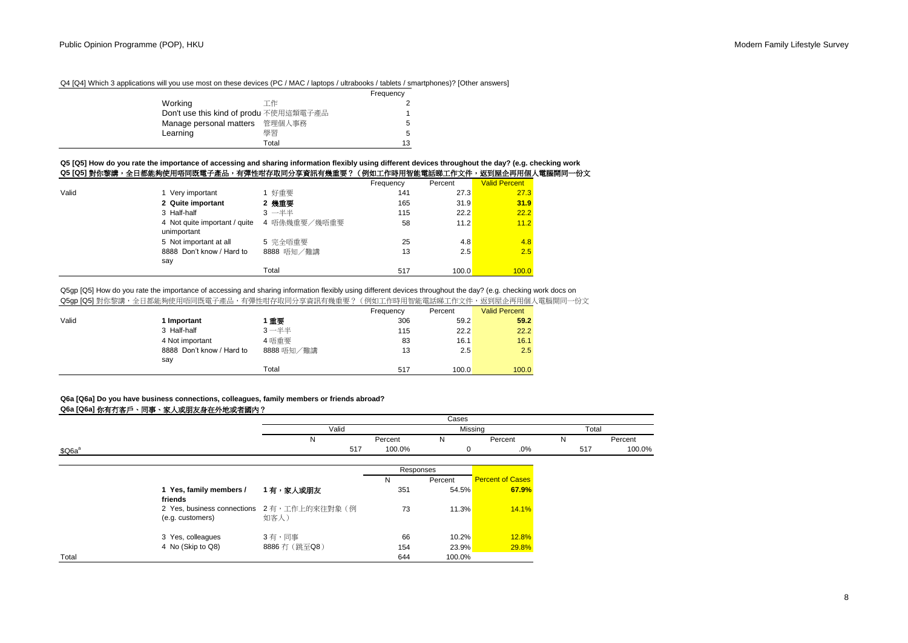## Q4 [Q4] Which 3 applications will you use most on these devices (PC / MAC / laptops / ultrabooks / tablets / smartphones)? [Other answers]

|                                        |       | Frequency |
|----------------------------------------|-------|-----------|
| Working                                | 工作    | 2         |
| Don't use this kind of produ 不使用這類電子產品 |       | 1         |
| Manage personal matters 管理個人事務         |       | 5         |
| Learning                               | 壆習    | 5         |
|                                        | Total | 13        |

### **Q5 [Q5] How do you rate the importance of accessing and sharing information flexibly using different devices throughout the day? (e.g. checking work Q5 [Q5]** 對你黎講,全日都能夠使用唔同既電子產品,有彈性咁存取同分享資訊有幾重要?(例如工作時用智能電話睇工作文件,返到屋企再用個人電腦開同一份文

|       | ਪ੍す[ਪ੍य] 到价余時 ′ 土口郁船列仗用咱鬥吼电丁座吅 ′ 月净性咁计叭鬥刀字員邮月戏里女! |              | (例如工作时用省船电站第工作人计,赵到里正书用旧人电脑》 |         |                      |  |
|-------|---------------------------------------------------|--------------|------------------------------|---------|----------------------|--|
|       |                                                   |              | Frequency                    | Percent | <b>Valid Percent</b> |  |
| Valid | 1 Very important                                  | 1 好重要        | 141                          | 27.3    | 27.3                 |  |
|       | 2 Quite important                                 | 2 幾重要        | 165                          | 31.9    | 31.9                 |  |
|       | 3 Half-half                                       | 3 一半半        | 115                          | 22.2    | 22.2                 |  |
|       | 4 Not quite important / quite<br>unimportant      | 4 唔係幾重要/幾唔重要 | 58                           | 11.2    | 11.2                 |  |
|       | 5 Not important at all                            | 5 完全唔重要      | 25                           | 4.8     | 4.8                  |  |
|       | 8888 Don't know / Hard to<br>say                  | 8888 唔知/難講   | 13                           | 2.5     | 2.5                  |  |
|       |                                                   | Total        | 517                          | 100.0   | 100.0                |  |

## Q5qp [Q5] How do you rate the importance of accessing and sharing information flexibly using different devices throughout the day? (e.g. checking work docs on Q5gp [Q5] 對你黎講,全日都能夠使用唔同既電子產品,有彈性咁存取同分享資訊有幾重要?(例如工作時用智能電話睇工作文件,返到屋企再用個人電腦開同一份文

|       |                           |            | Frequency | Percent | <b>Valid Percent</b> |
|-------|---------------------------|------------|-----------|---------|----------------------|
| Valid | 1 Important               | 重要         | 306       | 59.2    | 59.2                 |
|       | 3 Half-half               | $3 - ##$   | 115       | 22.2    | 22.2                 |
|       | 4 Not important           | 4 唔重要      | 83        | 16.1    | 16.1                 |
|       | 8888 Don't know / Hard to | 8888 唔知/難講 | 13        | 2.5     | 2.5                  |
|       | say                       |            |           |         |                      |
|       |                           | Total      | 517       | 100.0   | 100.0                |

## **Q6a [Q6a] Do you have business connections, colleagues, family members or friends abroad?**

### **Q6a [Q6a]** 你有冇客戶、同事、家人或朋友身在外地或者國內?

|                    |                                    | Cases                                             |             |         |                         |        |         |  |
|--------------------|------------------------------------|---------------------------------------------------|-------------|---------|-------------------------|--------|---------|--|
|                    |                                    |                                                   |             |         | Missing<br>Total        |        |         |  |
|                    |                                    | N                                                 | Percent     | N       | Percent                 | N      | Percent |  |
| \$Q6a <sup>a</sup> | 517                                | 100.0%                                            | $\mathbf 0$ | .0%     | 517                     | 100.0% |         |  |
|                    |                                    |                                                   | Responses   |         |                         |        |         |  |
|                    |                                    |                                                   | N           | Percent | <b>Percent of Cases</b> |        |         |  |
|                    | 1 Yes, family members /<br>friends | 1 有,家人或朋友                                         | 351         | 54.5%   | 67.9%                   |        |         |  |
|                    | (e.g. customers)                   | 2 Yes, business connections 2有,工作上的來往對象(例<br>如客人) | 73          | 11.3%   | 14.1%                   |        |         |  |
|                    | 3 Yes, colleagues                  | 3有,同事                                             | 66          | 10.2%   | 12.8%                   |        |         |  |
|                    | 4 No (Skip to Q8)                  | 8886 冇 (跳至Q8)                                     | 154         | 23.9%   | 29.8%                   |        |         |  |
| Total              |                                    |                                                   | 644         | 100.0%  |                         |        |         |  |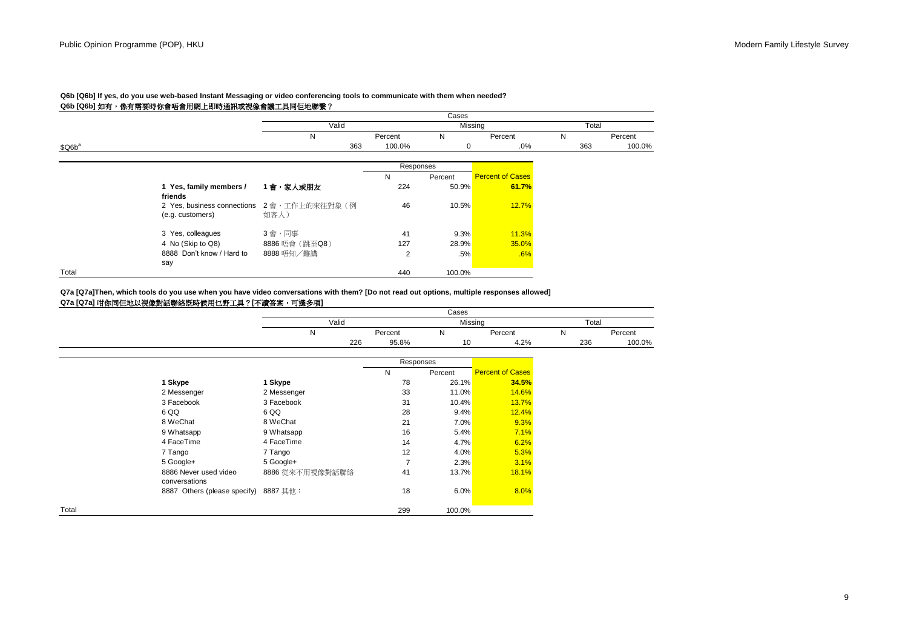|                    |                                                 |                       |           | Cases   |                         |       |         |
|--------------------|-------------------------------------------------|-----------------------|-----------|---------|-------------------------|-------|---------|
|                    |                                                 | Valid                 |           |         | Missing                 | Total |         |
|                    |                                                 | N                     | Percent   | N       | Percent                 | N     | Percent |
| \$Q6b <sup>a</sup> |                                                 | 363                   | 100.0%    | 0       | .0%                     | 363   | 100.0%  |
|                    |                                                 |                       | Responses |         |                         |       |         |
|                    |                                                 |                       | N         | Percent | <b>Percent of Cases</b> |       |         |
|                    | 1 Yes, family members /<br>friends              | 1會,家人或朋友              | 224       | 50.9%   | 61.7%                   |       |         |
|                    | 2 Yes, business connections<br>(e.g. customers) | 2會,工作上的來往對象(例<br>如客人) | 46        | 10.5%   | 12.7%                   |       |         |
|                    | 3 Yes, colleagues                               | 3會,同事                 | 41        | 9.3%    | 11.3%                   |       |         |
|                    | 4 No (Skip to Q8)                               | 8886 唔會 (跳至Q8)        | 127       | 28.9%   | 35.0%                   |       |         |
|                    | 8888 Don't know / Hard to<br>say                | 8888 唔知/難講            | 2         | $.5\%$  | .6%                     |       |         |
| Total              |                                                 |                       | 440       | 100.0%  |                         |       |         |

# **Q6b [Q6b] If yes, do you use web-based Instant Messaging or video conferencing tools to communicate with them when needed?**

# Q6b [Q6b] 如有, 係有雲要時你會唔會用網上即時通訊或視像會議工具同佢地聯繫?

**Q7a [Q7a]** 咁你同佢地以視像對話聯絡既時候用乜野工具?**[**不讀答案,可選多項**] Q7a [Q7a]Then, which tools do you use when you have video conversations with them? [Do not read out options, multiple responses allowed]**

|       |                                        |                 |                | Cases     |                         |       |         |  |
|-------|----------------------------------------|-----------------|----------------|-----------|-------------------------|-------|---------|--|
|       |                                        | Valid           |                |           | Missing                 | Total |         |  |
|       |                                        | N               | Percent        | N         | Percent                 | N     | Percent |  |
|       |                                        | 226             | 95.8%          | 10        | 4.2%                    | 236   | 100.0%  |  |
|       |                                        |                 |                | Responses |                         |       |         |  |
|       |                                        |                 | N              | Percent   | <b>Percent of Cases</b> |       |         |  |
|       | 1 Skype                                | 1 Skype         | 78             | 26.1%     | 34.5%                   |       |         |  |
|       | 2 Messenger                            | 2 Messenger     | 33             | 11.0%     | 14.6%                   |       |         |  |
|       | 3 Facebook                             | 3 Facebook      | 31             | 10.4%     | 13.7%                   |       |         |  |
|       | 6 QQ                                   | 6 QQ            | 28             | 9.4%      | 12.4%                   |       |         |  |
|       | 8 WeChat                               | 8 WeChat        | 21             | $7.0\%$   | 9.3%                    |       |         |  |
|       | 9 Whatsapp                             | 9 Whatsapp      | 16             | 5.4%      | 7.1%                    |       |         |  |
|       | 4 FaceTime                             | 4 FaceTime      | 14             | 4.7%      | 6.2%                    |       |         |  |
|       | 7 Tango                                | 7 Tango         | 12             | 4.0%      | 5.3%                    |       |         |  |
|       | 5 Google+                              | 5 Google+       | $\overline{7}$ | 2.3%      | 3.1%                    |       |         |  |
|       | 8886 Never used video<br>conversations | 8886 從來不用視像對話聯絡 | 41             | 13.7%     | 18.1%                   |       |         |  |
|       | 8887 Others (please specify) 8887 其他:  |                 | 18             | 6.0%      | 8.0%                    |       |         |  |
| Total |                                        |                 | 299            | 100.0%    |                         |       |         |  |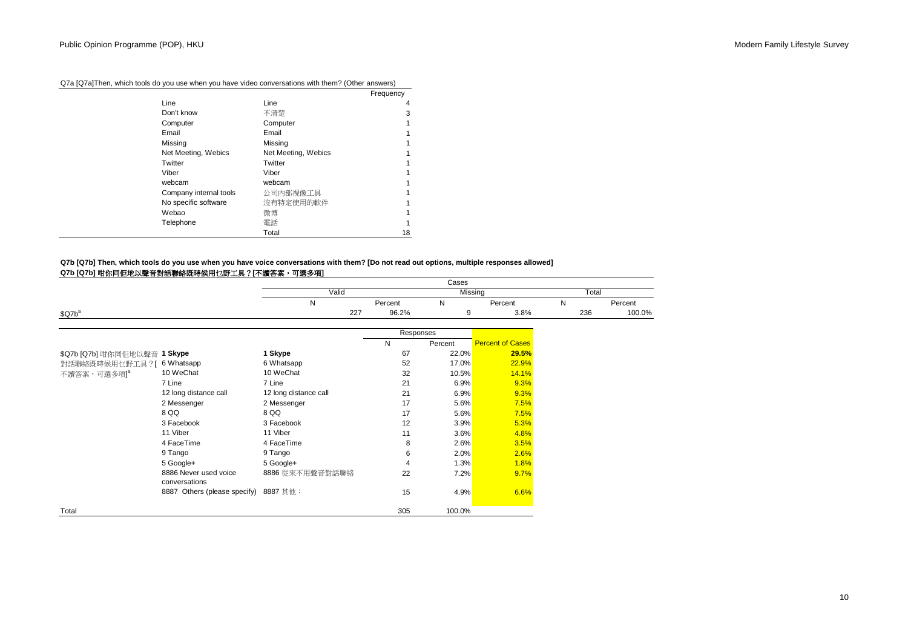|  |  | Q7a [Q7a]Then, which tools do you use when you have video conversations with them? (Other answers) |  |
|--|--|----------------------------------------------------------------------------------------------------|--|
|--|--|----------------------------------------------------------------------------------------------------|--|

|                        |                     | Frequency |
|------------------------|---------------------|-----------|
| Line                   | Line                | 4         |
| Don't know             | 不清楚                 | 3         |
| Computer               | Computer            |           |
| Email                  | Email               |           |
| Missing                | Missing             |           |
| Net Meeting, Webics    | Net Meeting, Webics |           |
| Twitter                | Twitter             |           |
| Viber                  | Viber               |           |
| webcam                 | webcam              |           |
| Company internal tools | 公司内部視像工具            |           |
| No specific software   | 沒有特定使用的軟件           |           |
| Webao                  | 微博                  |           |
| Telephone              | 電話                  |           |
|                        | Total               | 18        |

# **Q7b [Q7b]** 咁你同佢地以聲音對話聯絡既時候用乜野工具?**[**不讀答案,可選多項**] Q7b [Q7b] Then, which tools do you use when you have voice conversations with them? [Do not read out options, multiple responses allowed]**

|                              |                                        |                       |           | Cases   |                         |       |         |
|------------------------------|----------------------------------------|-----------------------|-----------|---------|-------------------------|-------|---------|
|                              |                                        | Valid                 |           | Missing |                         | Total |         |
|                              |                                        | N                     | Percent   | N       | Percent                 | N     | Percent |
| \$Q7b <sup>a</sup>           |                                        | 227                   | 96.2%     | 9       | 3.8%                    | 236   | 100.0%  |
|                              |                                        |                       | Responses |         |                         |       |         |
|                              |                                        |                       | N         | Percent | <b>Percent of Cases</b> |       |         |
| \$Q7b [Q7b] 咁你同佢地以聲音 1 Skype |                                        | 1 Skype               | 67        | 22.0%   | 29.5%                   |       |         |
| 對話聯絡既時候用乜野工具?[               | 6 Whatsapp                             | 6 Whatsapp            | 52        | 17.0%   | 22.9%                   |       |         |
| 不讀答案,可選多項] <sup>a</sup>      | 10 WeChat                              | 10 WeChat             | 32        | 10.5%   | 14.1%                   |       |         |
|                              | 7 Line                                 | 7 Line                | 21        | 6.9%    | 9.3%                    |       |         |
|                              | 12 long distance call                  | 12 long distance call | 21        | 6.9%    | 9.3%                    |       |         |
|                              | 2 Messenger                            | 2 Messenger           | 17        | 5.6%    | 7.5%                    |       |         |
|                              | 8 QQ                                   | 8 QQ                  | 17        | 5.6%    | 7.5%                    |       |         |
|                              | 3 Facebook                             | 3 Facebook            | 12        | 3.9%    | 5.3%                    |       |         |
|                              | 11 Viber                               | 11 Viber              | 11        | 3.6%    | 4.8%                    |       |         |
|                              | 4 FaceTime                             | 4 FaceTime            | 8         | 2.6%    | 3.5%                    |       |         |
|                              | 9 Tango                                | 9 Tango               | 6         | 2.0%    | 2.6%                    |       |         |
|                              | 5 Google+                              | 5 Google+             | 4         | 1.3%    | 1.8%                    |       |         |
|                              | 8886 Never used voice<br>conversations | 8886 從來不用聲音對話聯絡       | 22        | 7.2%    | 9.7%                    |       |         |
|                              | 8887 Others (please specify)           | 8887 其他:              | 15        | 4.9%    | 6.6%                    |       |         |
| Total                        |                                        |                       | 305       | 100.0%  |                         |       |         |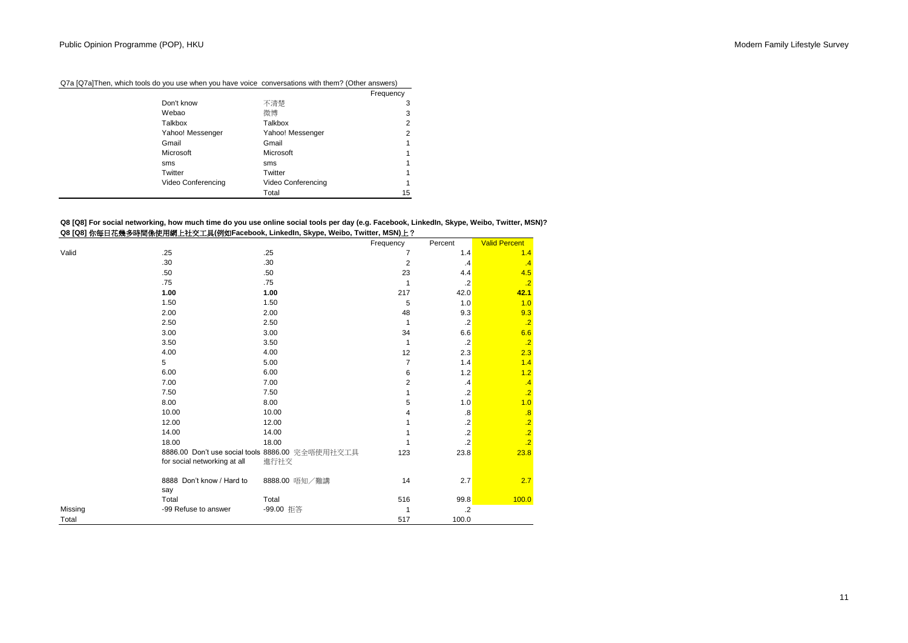|                    |                    | Frequency |
|--------------------|--------------------|-----------|
| Don't know         | 不清楚                | 3         |
| Webao              | 微博                 | 3         |
| Talkbox            | Talkbox            | 2         |
| Yahoo! Messenger   | Yahoo! Messenger   | 2         |
| Gmail              | Gmail              |           |
| Microsoft          | Microsoft          |           |
| sms                | sms                |           |
| Twitter            | Twitter            |           |
| Video Conferencing | Video Conferencing |           |
|                    | Total              | 15        |

Q7a [Q7a]Then, which tools do you use when you have voice conversations with them? (Other answers)

**Q8 [Q8]** 你每日花幾多時間係使用網上社交工具**(**例如**Facebook, LinkedIn, Skype, Weibo, Twitter, MSN)**上? **Q8 [Q8] For social networking, how much time do you use online social tools per day (e.g. Facebook, LinkedIn, Skype, Weibo, Twitter, MSN)?**

|         |                                  |                                                  | Frequency      | Percent           | Valid Percent   |
|---------|----------------------------------|--------------------------------------------------|----------------|-------------------|-----------------|
| Valid   | .25                              | .25                                              | 7              | 1.4               | 1.4             |
|         | .30                              | .30                                              | $\overline{2}$ | .4                | .4              |
|         | .50                              | .50                                              | 23             | 4.4               | 4.5             |
|         | .75                              | .75                                              | 1              | $\cdot$           | $\overline{.2}$ |
|         | 1.00                             | 1.00                                             | 217            | 42.0              | 42.1            |
|         | 1.50                             | 1.50                                             | 5              | 1.0               | 1.0             |
|         | 2.00                             | 2.00                                             | 48             | 9.3               | 9.3             |
|         | 2.50                             | 2.50                                             | 1              | $\cdot$           | $\overline{.2}$ |
|         | 3.00                             | 3.00                                             | 34             | 6.6               | 6.6             |
|         | 3.50                             | 3.50                                             | 1              | $\cdot$           | $\overline{.2}$ |
|         | 4.00                             | 4.00                                             | 12             | 2.3               | 2.3             |
|         | 5                                | 5.00                                             | $\overline{7}$ | 1.4               | 1.4             |
|         | 6.00                             | 6.00                                             | 6              | 1.2               | 1.2             |
|         | 7.00                             | 7.00                                             | $\overline{c}$ | .4                | .4              |
|         | 7.50                             | 7.50                                             | 1              | $\cdot$           | $\overline{.2}$ |
|         | 8.00                             | 8.00                                             | 5              | 1.0               | 1.0             |
|         | 10.00                            | 10.00                                            | 4              | $\boldsymbol{.8}$ | .8              |
|         | 12.00                            | 12.00                                            |                | $\cdot$           | $\overline{.2}$ |
|         | 14.00                            | 14.00                                            |                | $\cdot$           | $\overline{.2}$ |
|         | 18.00                            | 18.00                                            |                | $\cdot$ .2        | $\overline{.2}$ |
|         |                                  | 8886.00 Don't use social tools 8886.00 完全唔使用社交工具 | 123            | 23.8              | 23.8            |
|         | for social networking at all     | 進行社交                                             |                |                   |                 |
|         | 8888 Don't know / Hard to<br>say | 8888.00 唔知/難講                                    | 14             | 2.7               | 2.7             |
|         | Total                            | Total                                            | 516            | 99.8              | 100.0           |
| Missing | -99 Refuse to answer             | -99.00 拒答                                        | 1              | $\cdot$ .2        |                 |
| Total   |                                  |                                                  | 517            | 100.0             |                 |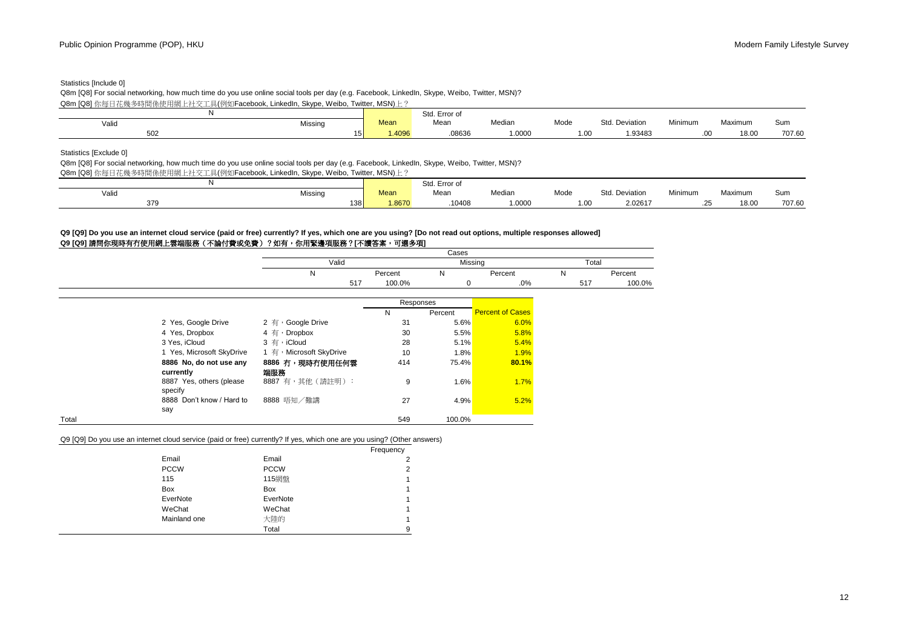## Statistics [Include 0]

Q8m [Q8] For social networking, how much time do you use online social tools per day (e.g. Facebook, LinkedIn, Skype, Weibo, Twitter, MSN)?

Q8m [Q8] 你每日花幾多時間係使用網上社交工具(例如Facebook, LinkedIn, Skype, Weibo, Twitter, MSN)上?

|               |         |       | Std. Error of    |        |      |                |         |         |        |
|---------------|---------|-------|------------------|--------|------|----------------|---------|---------|--------|
| Valio         | Missing | Mean  | Mean<br>$\cdots$ | Median | Mode | Std. Deviation | Minimum | Maximum | Sun.   |
| $\sim$<br>JUZ | 15 I    | .4096 | 08636            | 1.0000 | . ب  | 1.93483        |         | 18.00   | 707.60 |

Statistics [Exclude 0]

Q8m [Q8] For social networking, how much time do you use online social tools per day (e.g. Facebook, LinkedIn, Skype, Weibo, Twitter, MSN)? Q8m [Q8] 你每日花幾多時間係使用網上社交工具(例如Facebook, LinkedIn, Skype, Weibo, Twitter, MSN)上?

|                 |         |             | Std. Error of |        |      |                |               |                   |        |
|-----------------|---------|-------------|---------------|--------|------|----------------|---------------|-------------------|--------|
| Valic           | Missinc | <b>Mean</b> | Mean          | Median | Mode | Std. Deviation | Minimum       | Maximum           | Sum    |
| 37 <sup>g</sup> | 138     | .8670       | 10408         | .0000  | 1.00 | 2.02617        | $\sim$<br>$-$ | 18.0 <sup>c</sup> | 707.60 |

## **Q9 [Q9]** 請問你現時有冇使用網上雲端服務(不論付費或免費)?如有,你用緊邊項服務?**[**不讀答案,可選多項**] Q9 [Q9] Do you use an internet cloud service (paid or free) currently? If yes, which one are you using? [Do not read out options, multiple responses allowed]**

|       |                           |                            |           | Cases   |                         |       |         |
|-------|---------------------------|----------------------------|-----------|---------|-------------------------|-------|---------|
|       |                           | Valid                      |           |         | Missing                 | Total |         |
|       |                           | Ν                          | Percent   | N       | Percent                 | N     | Percent |
|       |                           | 517                        | 100.0%    | 0       | $.0\%$                  | 517   | 100.0%  |
|       |                           |                            | Responses |         |                         |       |         |
|       |                           |                            | N         | Percent | <b>Percent of Cases</b> |       |         |
|       | 2 Yes, Google Drive       | 2 有, Google Drive          | 31        | 5.6%    | 6.0%                    |       |         |
|       | 4 Yes, Dropbox            | 4 $\overline{f}$ , Dropbox | 30        | 5.5%    | 5.8%                    |       |         |
|       | 3 Yes, iCloud             | 3 有, iCloud                | 28        | 5.1%    | 5.4%                    |       |         |
|       | 1 Yes, Microsoft SkyDrive | 1 有, Microsoft SkyDrive    | 10        | 1.8%    | 1.9%                    |       |         |
|       | 8886 No, do not use any   | 8886 冇,現時冇使用任何雲            | 414       | 75.4%   | 80.1%                   |       |         |
|       | currently                 | 端服務                        |           |         |                         |       |         |
|       | 8887 Yes, others (please  | 8887 有,其他(請註明):            | 9         | 1.6%    | 1.7%                    |       |         |
|       | specify                   |                            |           |         |                         |       |         |
|       | 8888 Don't know / Hard to | 8888 唔知/難講                 | 27        | 4.9%    | 5.2%                    |       |         |
|       | say                       |                            |           |         |                         |       |         |
| Total |                           |                            | 549       | 100.0%  |                         |       |         |

Q9 [Q9] Do you use an internet cloud service (paid or free) currently? If yes, which one are you using? (Other answers)

|              |             | Frequency      |
|--------------|-------------|----------------|
| Email        | Email       | 2              |
| <b>PCCW</b>  | <b>PCCW</b> | $\overline{2}$ |
| 115          | 115網盤       |                |
| Box          | Box         |                |
| EverNote     | EverNote    |                |
| WeChat       | WeChat      |                |
| Mainland one | 大陸的         |                |
|              | Total       | 9              |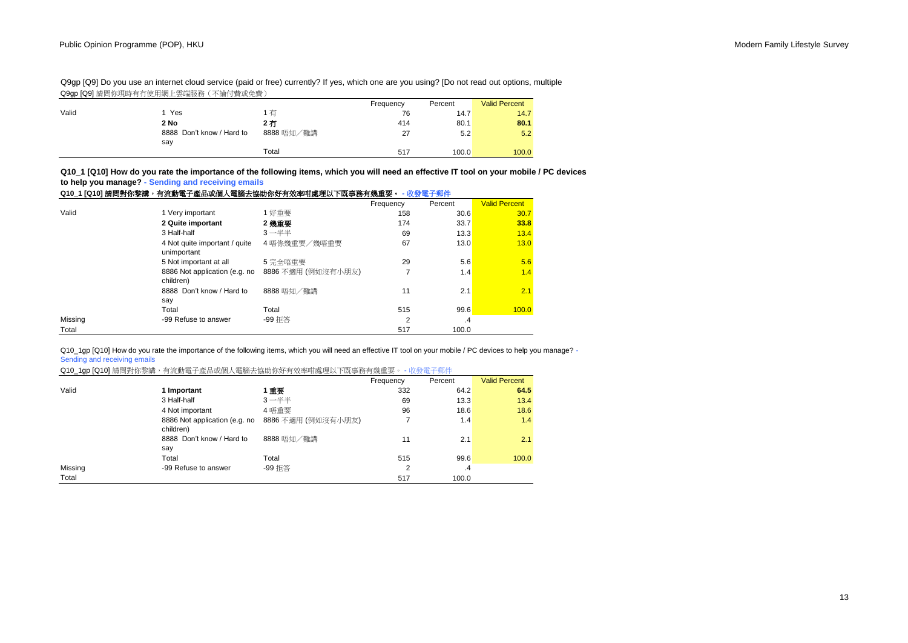Q9gp [Q9] Do you use an internet cloud service (paid or free) currently? If yes, which one are you using? [Do not read out options, multiple Q9gp [Q9] 請問你現時有冇使用網上雲端服務(不論付費或免費)

|       |                                  |            | Frequency | Percent | <b>Valid Percent</b> |
|-------|----------------------------------|------------|-----------|---------|----------------------|
| Valid | Yes                              | 有          | 76        | 14.7    | 14.7                 |
|       | 2 No                             | 2冇         | 414       | 80.1    | 80.1                 |
|       | 8888 Don't know / Hard to<br>say | 8888 唔知/難講 | 27        | 5.2     | 5.2                  |
|       |                                  | Total      | 517       | 100.0   | 100.0                |

**Q10\_1 [Q10] How do you rate the importance of the following items, which you will need an effective IT tool on your mobile / PC devices to help you manage? - Sending and receiving emails Q10\_1 [Q10]** 請問對你黎講,有流動電子產品或個人電腦去協助你好有效率咁處理以下既事務有幾重要。 **-** 收發電子郵件

|         | Q10_1 [Q10] 請問對你黎講,有流動電子產品或個人電腦去協助你好有效率咁處理以下既事務有幾重要。 - 收發電子郵件 |                    |           |           |                      |
|---------|---------------------------------------------------------------|--------------------|-----------|-----------|----------------------|
|         |                                                               |                    | Frequency | Percent   | <b>Valid Percent</b> |
| Valid   | 1 Very important                                              | 1 好重要              | 158       | 30.6      | 30.7                 |
|         | 2 Quite important                                             | 2 幾重要              | 174       | 33.7      | 33.8                 |
|         | 3 Half-half                                                   | $3 - ##$           | 69        | 13.3      | 13.4                 |
|         | 4 Not quite important / quite<br>unimportant                  | 4唔係幾重要/幾唔重要        | 67        | 13.0      | 13.0                 |
|         | 5 Not important at all                                        | 5 完全唔重要            | 29        | 5.6       | 5.6                  |
|         | 8886 Not application (e.g. no<br>children)                    | 8886 不適用 (例如沒有小朋友) |           | 1.4       | 1.4                  |
|         | 8888 Don't know / Hard to<br>say                              | 8888 唔知/難講         | 11        | 2.1       | 2.1                  |
|         | Total                                                         | Total              | 515       | 99.6      | 100.0                |
| Missing | -99 Refuse to answer                                          | -99 拒答             | 2         | $\cdot$ 4 |                      |
| Total   |                                                               |                    | 517       | 100.0     |                      |

Q10\_1gp [Q10] How do you rate the importance of the following items, which you will need an effective IT tool on your mobile / PC devices to help you manage? -Sending and receiving emails

| Q10_1gp [Q10] 請問對你黎講,有流動電子產品或個人電腦去協助你好有效率咁處理以下既事務有幾重要。 - 收發電子郵件 |                                            |                    |           |         |                      |  |  |
|-----------------------------------------------------------------|--------------------------------------------|--------------------|-----------|---------|----------------------|--|--|
|                                                                 |                                            |                    | Frequency | Percent | <b>Valid Percent</b> |  |  |
| Valid                                                           | 1 Important                                | 1重要                | 332       | 64.2    | 64.5                 |  |  |
|                                                                 | 3 Half-half                                | $3 - ##$           | 69        | 13.3    | 13.4                 |  |  |
|                                                                 | 4 Not important                            | 4 唔重要              | 96        | 18.6    | 18.6                 |  |  |
|                                                                 | 8886 Not application (e.g. no<br>children) | 8886 不適用 (例如沒有小朋友) |           | 1.4     | 1.4                  |  |  |
|                                                                 | 8888 Don't know / Hard to<br>say           | 8888 唔知/難講         | 11        | 2.1     | 2.1                  |  |  |
|                                                                 | Total                                      | Total              | 515       | 99.6    | 100.0                |  |  |
| Missing                                                         | -99 Refuse to answer                       | -99 拒答             | 2         | .4      |                      |  |  |
| Total                                                           |                                            |                    | 517       | 100.0   |                      |  |  |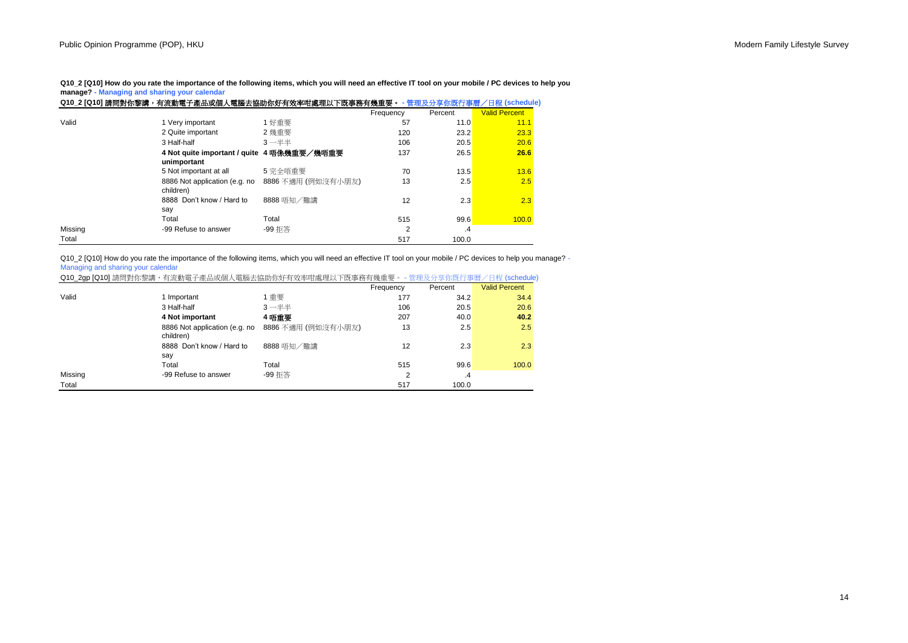**Q10\_2 [Q10] How do you rate the importance of the following items, which you will need an effective IT tool on your mobile / PC devices to help you manage? - Managing and sharing your calendar**

|         | Q10_2 [Q10] 請問對你黎講,有流動電子產品或個人電腦去協助你好有效率咁處理以下既事務有幾重要。 - 管理及分享你既行事曆/日程 (schedule) |                    |           |         |                      |
|---------|---------------------------------------------------------------------------------|--------------------|-----------|---------|----------------------|
|         |                                                                                 |                    | Frequency | Percent | <b>Valid Percent</b> |
| Valid   | 1 Very important                                                                | 1 好重要              | 57        | 11.0    | 11.1                 |
|         | 2 Quite important                                                               | 2 幾重要              | 120       | 23.2    | 23.3                 |
|         | 3 Half-half                                                                     | $3 - ##$           | 106       | 20.5    | 20.6                 |
|         | 4 Not quite important / quite 4 唔像幾重要/幾唔重要                                      |                    | 137       | 26.5    | 26.6                 |
|         | unimportant                                                                     |                    |           |         |                      |
|         | 5 Not important at all                                                          | 5 完全唔重要            | 70        | 13.5    | 13.6                 |
|         | 8886 Not application (e.g. no                                                   | 8886 不適用 (例如沒有小朋友) | 13        | 2.5     | 2.5                  |
|         | children)                                                                       |                    |           |         |                      |
|         | 8888 Don't know / Hard to                                                       | 8888 唔知/難講         | 12        | 2.3     | 2.3                  |
|         | say                                                                             |                    |           |         |                      |
|         | Total                                                                           | Total              | 515       | 99.6    | 100.0                |
| Missing | -99 Refuse to answer                                                            | -99 拒答             | 2         | .4      |                      |
| Total   |                                                                                 |                    | 517       | 100.0   |                      |

Q10\_2 [Q10] How do you rate the importance of the following items, which you will need an effective IT tool on your mobile / PC devices to help you manage? -Managing and sharing your calendar

| Q10_2gp [Q10] 請問對你黎講, | ,有流動電子產品或個人電腦去協助你好有效率咁處理以下既事務有幾重要。 - | r既行事曆/日程 (schedule) |
|-----------------------|--------------------------------------|---------------------|
|                       |                                      |                     |

|         |                                            |                    | Frequency | Percent | <b>Valid Percent</b> |
|---------|--------------------------------------------|--------------------|-----------|---------|----------------------|
| Valid   | 1 Important                                | 1重要                | 177       | 34.2    | 34.4                 |
|         | 3 Half-half                                | $3 - ##$           | 106       | 20.5    | 20.6                 |
|         | 4 Not important                            | 4 唔重要              | 207       | 40.0    | 40.2                 |
|         | 8886 Not application (e.g. no<br>children) | 8886 不適用 (例如沒有小朋友) | 13        | 2.5     | 2.5                  |
|         | 8888 Don't know / Hard to<br>say           | 8888 唔知/難講         | 12        | 2.3     | 2.3                  |
|         | Total                                      | Total              | 515       | 99.6    | 100.0                |
| Missing | -99 Refuse to answer                       | -99 拒答             | 2         | $\cdot$ |                      |
| Total   |                                            |                    | 517       | 100.0   |                      |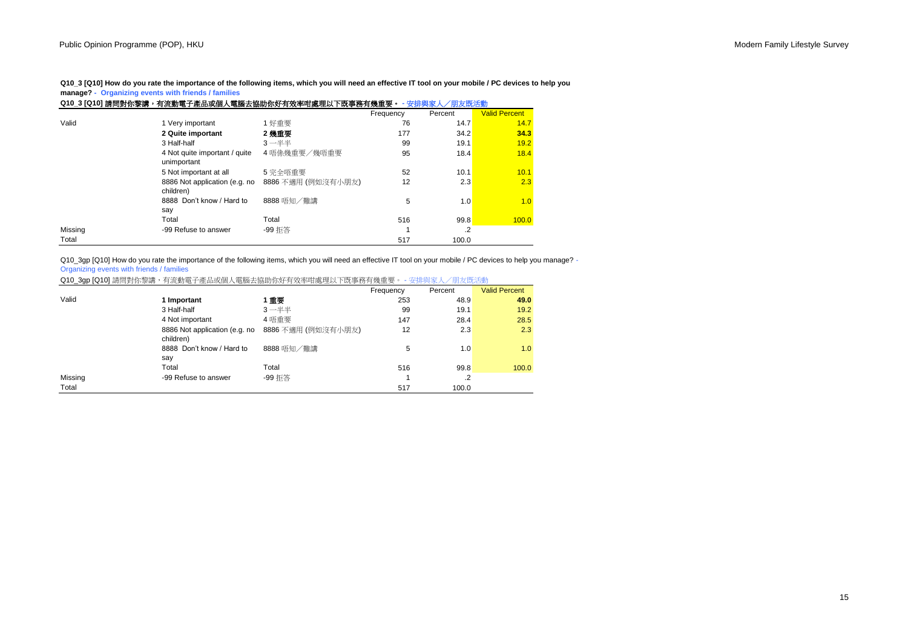**Q10\_3 [Q10] How do you rate the importance of the following items, which you will need an effective IT tool on your mobile / PC devices to help you manage? - Organizing events with friends / families**

|         | Q10_3 [Q10] 請問對你黎講,有流動電子產品或個人電腦去協助你好有效率咁處理以下既事務有幾重要。 - 安排與家人 |                    |           | '朋友既活動  |                      |
|---------|--------------------------------------------------------------|--------------------|-----------|---------|----------------------|
|         |                                                              |                    | Frequency | Percent | <b>Valid Percent</b> |
| Valid   | 1 Very important                                             | 1 好重要              | 76        | 14.7    | 14.7                 |
|         | 2 Quite important                                            | 2 幾重要              | 177       | 34.2    | 34.3                 |
|         | 3 Half-half                                                  | $3 - ##$           | 99        | 19.1    | 19.2                 |
|         | 4 Not quite important / quite<br>unimportant                 | 4 唔係幾重要/幾唔重要       | 95        | 18.4    | 18.4                 |
|         | 5 Not important at all                                       | 5 完全唔重要            | 52        | 10.1    | 10.1                 |
|         | 8886 Not application (e.g. no<br>children)                   | 8886 不適用 (例如沒有小朋友) | 12        | 2.3     | 2.3                  |
|         | 8888 Don't know / Hard to<br>say                             | 8888 唔知/難講         | 5         | 1.0     | 1.0                  |
|         | Total                                                        | Total              | 516       | 99.8    | 100.0                |
| Missing | -99 Refuse to answer                                         | -99 拒答             |           | $\cdot$ |                      |
| Total   |                                                              |                    | 517       | 100.0   |                      |

Q10\_3gp [Q10] How do you rate the importance of the following items, which you will need an effective IT tool on your mobile / PC devices to help you manage? -Organizing events with friends / families

|  |  | Q10_3gp [Q10] 請問對你黎講,有流動電子產品或個人電腦去協助你好有效率咁處理以下既事務有幾重要。 - 安排與家人/朋友既活動 |  |  |
|--|--|----------------------------------------------------------------------|--|--|
|--|--|----------------------------------------------------------------------|--|--|

|         |                                            |                    | Frequency | Percent | <b>Valid Percent</b> |
|---------|--------------------------------------------|--------------------|-----------|---------|----------------------|
| Valid   | 1 Important                                | 重重                 | 253       | 48.9    | 49.0                 |
|         | 3 Half-half                                | $3 - ##$           | 99        | 19.1    | 19.2                 |
|         | 4 Not important                            | 4 唔重要              | 147       | 28.4    | 28.5                 |
|         | 8886 Not application (e.g. no<br>children) | 8886 不適用 (例如沒有小朋友) | 12        | 2.3     | 2.3                  |
|         | 8888 Don't know / Hard to<br>say           | 8888 唔知/難講         | 5         | 1.0     | 1.0                  |
|         | Total                                      | Total              | 516       | 99.8    | 100.0                |
| Missing | -99 Refuse to answer                       | -99 拒答             |           | .2      |                      |
| Total   |                                            |                    | 517       | 100.0   |                      |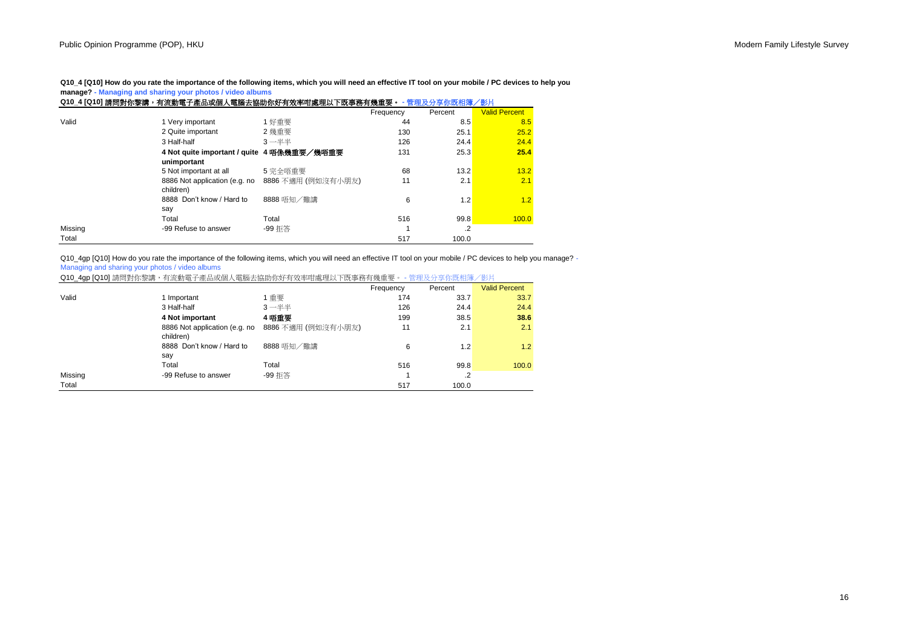**Q10\_4 [Q10] How do you rate the importance of the following items, which you will need an effective IT tool on your mobile / PC devices to help you manage? - Managing and sharing your photos / video albums**

|         |                                            | Q10_4 [Q10] 請問對你黎講,有流動電子產品或個人電腦去協助你好有效率咁處理以下既事務有幾重要。 - 管理及分享你既相簿/影片 |           |         |                      |
|---------|--------------------------------------------|---------------------------------------------------------------------|-----------|---------|----------------------|
|         |                                            |                                                                     | Frequency | Percent | <b>Valid Percent</b> |
| Valid   | 1 Very important                           | 1 好重要                                                               | 44        | 8.5     | 8.5                  |
|         | 2 Quite important                          | 2 幾重要                                                               | 130       | 25.1    | 25.2                 |
|         | 3 Half-half                                | $3 - ##$                                                            | 126       | 24.4    | 24.4                 |
|         | 4 Not quite important / quite 4 唔像幾重要/幾唔重要 |                                                                     | 131       | 25.3    | 25.4                 |
|         | unimportant                                |                                                                     |           |         |                      |
|         | 5 Not important at all                     | 5 完全唔重要                                                             | 68        | 13.2    | 13.2                 |
|         | 8886 Not application (e.g. no<br>children) | 8886 不適用 (例如沒有小朋友)                                                  | 11        | 2.1     | 2.1                  |
|         | 8888 Don't know / Hard to                  | 8888 唔知/難講                                                          | 6         | 1.2     | 1.2                  |
|         | say                                        |                                                                     |           |         |                      |
|         | Total                                      | Total                                                               | 516       | 99.8    | 100.0                |
| Missing | -99 Refuse to answer                       | -99 拒答                                                              |           | .2      |                      |
| Total   |                                            |                                                                     | 517       | 100.0   |                      |

Q10\_4gp [Q10] How do you rate the importance of the following items, which you will need an effective IT tool on your mobile / PC devices to help you manage? -Managing and sharing your photos / video albums

|  |  |  | Q10_4gp [Q10] 請問對你黎講,有流動電子產品或個人電腦去協助你好有效率咁處理以下既事務有幾重要。 - 管理及分享你既相簿/影片 |  |  |
|--|--|--|-----------------------------------------------------------------------|--|--|
|--|--|--|-----------------------------------------------------------------------|--|--|

|         |                                            |                    | Frequency | Percent | <b>Valid Percent</b> |
|---------|--------------------------------------------|--------------------|-----------|---------|----------------------|
| Valid   | 1 Important                                | 1重要                | 174       | 33.7    | 33.7                 |
|         | 3 Half-half                                | $3 - ##$           | 126       | 24.4    | 24.4                 |
|         | 4 Not important                            | 4 唔重要              | 199       | 38.5    | 38.6                 |
|         | 8886 Not application (e.g. no<br>children) | 8886 不適用 (例如沒有小朋友) | 11        | 2.1     | 2.1                  |
|         | 8888 Don't know / Hard to<br>say           | 8888 唔知/難講         | 6         | 1.2     | 1.2                  |
|         | Total                                      | Total              | 516       | 99.8    | 100.0                |
| Missing | -99 Refuse to answer                       | -99 拒答             |           | $\cdot$ |                      |
| Total   |                                            |                    | 517       | 100.0   |                      |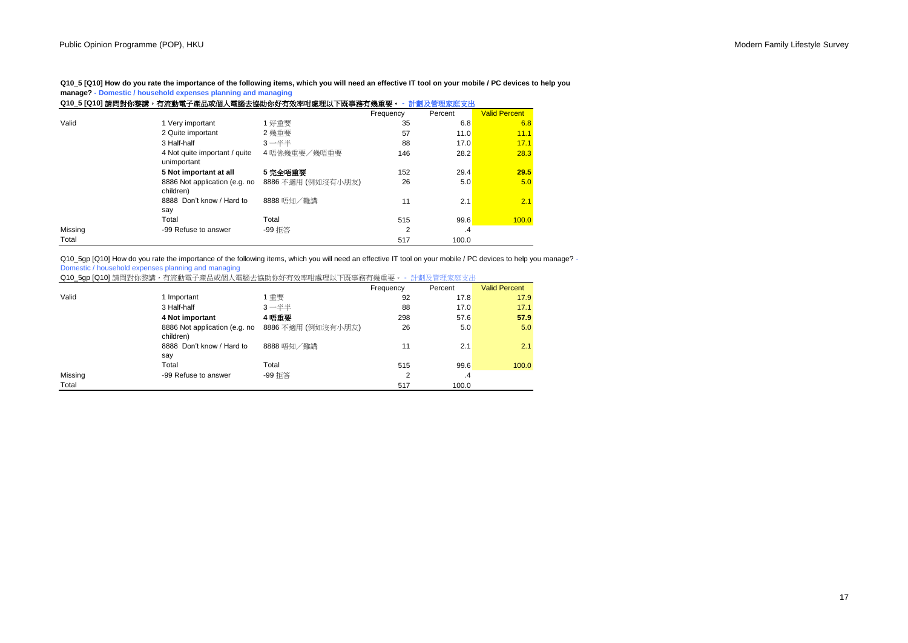**Q10\_5 [Q10] How do you rate the importance of the following items, which you will need an effective IT tool on your mobile / PC devices to help you manage? - Domestic / household expenses planning and managing**

| Q10_5 [Q10] 請問對你黎講,有流動電子產品或個人電腦去協助你好有效率咁處理以下既事務有幾重要。<br>計劃及管理家庭支出 |                                              |                    |                |         |                      |
|-------------------------------------------------------------------|----------------------------------------------|--------------------|----------------|---------|----------------------|
|                                                                   |                                              |                    | Frequency      | Percent | <b>Valid Percent</b> |
| Valid                                                             | 1 Very important                             | 1 好重要              | 35             | 6.8     | 6.8                  |
|                                                                   | 2 Quite important                            | 2 幾重要              | 57             | 11.0    | 11.1                 |
|                                                                   | 3 Half-half                                  | $3 - ##$           | 88             | 17.0    | 17.1                 |
|                                                                   | 4 Not quite important / quite<br>unimportant | 4 唔係幾重要/幾唔重要       | 146            | 28.2    | 28.3                 |
|                                                                   | 5 Not important at all                       | 5 完全唔重要            | 152            | 29.4    | 29.5                 |
|                                                                   | 8886 Not application (e.g. no<br>children)   | 8886 不適用 (例如沒有小朋友) | 26             | 5.0     | 5.0                  |
|                                                                   | 8888 Don't know / Hard to                    | 8888 唔知/難講         | 11             | 2.1     | 2.1                  |
|                                                                   | say                                          |                    |                |         |                      |
|                                                                   | Total                                        | Total              | 515            | 99.6    | 100.0                |
| Missing                                                           | -99 Refuse to answer                         | -99 拒答             | $\overline{2}$ | $\cdot$ |                      |
| Total                                                             |                                              |                    | 517            | 100.0   |                      |

Q10 5gp [Q10] How do you rate the importance of the following items, which you will need an effective IT tool on your mobile / PC devices to help you manage? -Domestic / household expenses planning and managing

|         |                                            |                    | Frequency | Percent | <b>Valid Percent</b> |
|---------|--------------------------------------------|--------------------|-----------|---------|----------------------|
| Valid   | 1 Important                                | 重要                 | 92        | 17.8    | 17.9                 |
|         | 3 Half-half                                | $3 - ##$           | 88        | 17.0    | 17.1                 |
|         | 4 Not important                            | 4 唔重要              | 298       | 57.6    | 57.9                 |
|         | 8886 Not application (e.g. no<br>children) | 8886 不適用 (例如沒有小朋友) | 26        | 5.0     | 5.0                  |
|         | 8888 Don't know / Hard to<br>say           | 8888 唔知/難講         | 11        | 2.1     | 2.1                  |
|         | Total                                      | Total              | 515       | 99.6    | 100.0                |
| Missing | -99 Refuse to answer                       | -99 拒答             | C         | $\cdot$ |                      |
| Total   |                                            |                    | 517       | 100.0   |                      |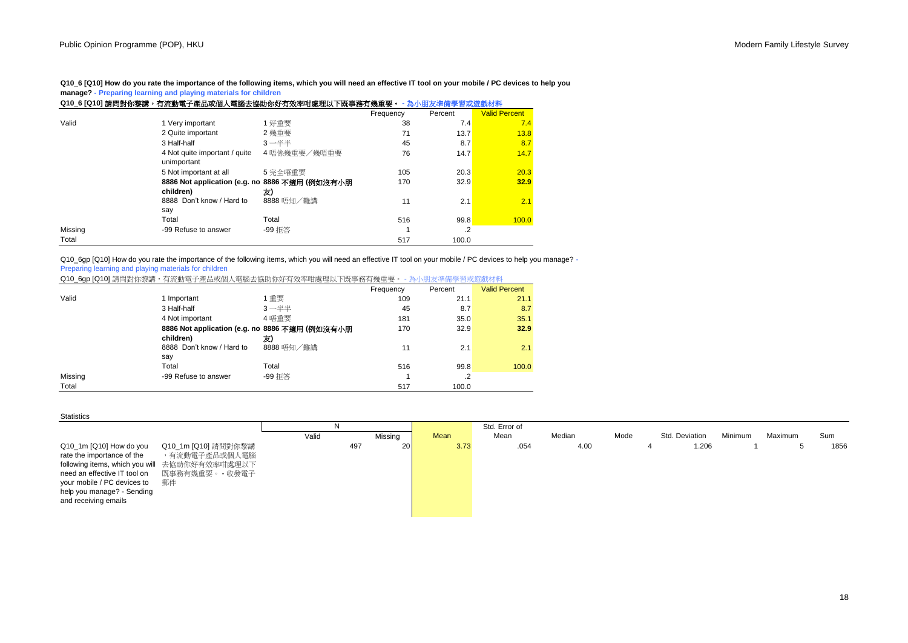**Q10\_6 [Q10] How do you rate the importance of the following items, which you will need an effective IT tool on your mobile / PC devices to help you manage? - Preparing learning and playing materials for children**

|         | Q10_6 [Q10] 請問對你黎講,有流動電子產品或個人電腦去協助你好有效率咁處理以下既事務有幾重要。 - 為小朋友準備學習或遊戲材料 |              |           |         |                      |
|---------|----------------------------------------------------------------------|--------------|-----------|---------|----------------------|
|         |                                                                      |              | Frequency | Percent | <b>Valid Percent</b> |
| Valid   | 1 Very important                                                     | 1 好重要        | 38        | 7.4     | 7.4                  |
|         | 2 Quite important                                                    | 2 幾重要        | 71        | 13.7    | 13.8                 |
|         | 3 Half-half                                                          | $3 - ##$     | 45        | 8.7     | 8.7                  |
|         | 4 Not quite important / quite<br>unimportant                         | 4 唔係幾重要/幾唔重要 | 76        | 14.7    | 14.7                 |
|         | 5 Not important at all                                               | 5 完全唔重要      | 105       | 20.3    | 20.3                 |
|         | 8886 Not application (e.g. no 8886 不適用 (例如沒有小朋<br>children)          | 友)           | 170       | 32.9    | 32.9                 |
|         | 8888 Don't know / Hard to<br>say                                     | 8888 唔知/難講   | 11        | 2.1     | 2.1                  |
|         | Total                                                                | Total        | 516       | 99.8    | 100.0                |
| Missing | -99 Refuse to answer                                                 | -99 拒答       |           | $\cdot$ |                      |
| Total   |                                                                      |              | 517       | 100.0   |                      |

Q10\_6gp [Q10] How do you rate the importance of the following items, which you will need an effective IT tool on your mobile / PC devices to help you manage? -Preparing learning and playing materials for children

Q10\_6gp [Q10] 請問對你黎講,有流動電子產品或個人電腦去協助你好有效率咁處理以下既事務有幾重要。 - 為小朋友準備學習或遊戲材料

|         |                                                |            | Frequency | Percent | <b>Valid Percent</b> |
|---------|------------------------------------------------|------------|-----------|---------|----------------------|
| Valid   | 1 Important                                    | 1重要        | 109       | 21.1    | 21.1                 |
|         | 3 Half-half                                    | $3 - ##$   | 45        | 8.7     | 8.7                  |
|         | 4 Not important                                | 4 唔重要      | 181       | 35.0    | 35.1                 |
|         | 8886 Not application (e.g. no 8886 不適用 (例如沒有小朋 |            | 170       | 32.9    | 32.9                 |
|         | children)                                      | 友)         |           |         |                      |
|         | 8888 Don't know / Hard to                      | 8888 唔知/難講 | 11        | 2.1     | 2.1                  |
|         | say                                            |            |           |         |                      |
|         | Total                                          | Total      | 516       | 99.8    | 100.0                |
| Missing | -99 Refuse to answer                           | -99 拒答     |           | $\cdot$ |                      |
| Total   |                                                |            | 517       | 100.0   |                      |

#### **Statistics**

|                                                                                                                                                                                                                                   |                                                         | N.    |           |      | Std. Error of |        |      |                |         |         |      |
|-----------------------------------------------------------------------------------------------------------------------------------------------------------------------------------------------------------------------------------|---------------------------------------------------------|-------|-----------|------|---------------|--------|------|----------------|---------|---------|------|
|                                                                                                                                                                                                                                   |                                                         | Valid | Missing   | Mean | Mean          | Median | Mode | Std. Deviation | Minimum | Maximum | Sum  |
| Q10_1m [Q10] How do you<br>rate the importance of the<br>following items, which you will 去協助你好有效率咁處理以下<br>need an effective IT tool on<br>your mobile / PC devices to<br>郵件<br>help you manage? - Sending<br>and receiving emails | Q10_1m [Q10] 請問對你黎講<br>,有流動電子產品或個人電腦<br>既事務有幾重要。 - 收發電子 |       | 20<br>497 | 3.73 | .054          | 4.00   |      | 1.206<br>4     |         |         | 1856 |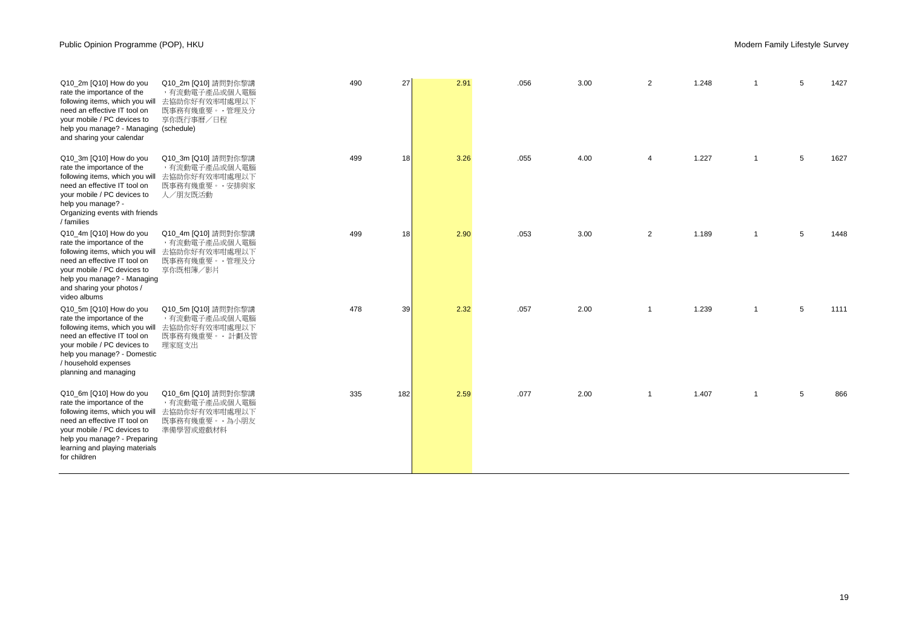| Q10_2m [Q10] How do you<br>rate the importance of the<br>following items, which you will<br>need an effective IT tool on<br>your mobile / PC devices to<br>help you manage? - Managing (schedule)<br>and sharing your calendar            | Q10_2m [Q10] 請問對你黎講<br>,有流動電子產品或個人電腦<br>去協助你好有效率咁處理以下<br>既事務有幾重要。 - 管理及分<br>享你既行事曆/日程 | 490 | 27              | 2.91 | .056 | 3.00 | $\overline{2}$ | 1.248 |                | 5 | 1427 |
|-------------------------------------------------------------------------------------------------------------------------------------------------------------------------------------------------------------------------------------------|---------------------------------------------------------------------------------------|-----|-----------------|------|------|------|----------------|-------|----------------|---|------|
| Q10 3m [Q10] How do you<br>rate the importance of the<br>following items, which you will<br>need an effective IT tool on<br>vour mobile / PC devices to<br>help you manage? -<br>Organizing events with friends<br>/ families             | Q10_3m [Q10] 請問對你黎講<br>,有流動電子產品或個人電腦<br>去協助你好有效率咁處理以下<br>既事務有幾重要。 - 安排與家<br>人/朋友既活動   | 499 | 18              | 3.26 | .055 | 4.00 | 4              | 1.227 | $\overline{1}$ | 5 | 1627 |
| Q10 4m [Q10] How do you<br>rate the importance of the<br>following items, which you will<br>need an effective IT tool on<br>your mobile / PC devices to<br>help you manage? - Managing<br>and sharing your photos /<br>video albums       | Q10_4m [Q10] 請問對你黎講<br>,有流動電子產品或個人電腦<br>去協助你好有效率咁處理以下<br>既事務有幾重要。 - 管理及分<br>享你既相簿/影片  | 499 | 18 <sup>1</sup> | 2.90 | .053 | 3.00 | $\overline{2}$ | 1.189 | $\mathbf{1}$   | 5 | 1448 |
| Q10_5m [Q10] How do you<br>rate the importance of the<br>following items, which you will<br>need an effective IT tool on<br>your mobile / PC devices to<br>help you manage? - Domestic<br>/ household expenses<br>planning and managing   | Q10_5m [Q10] 請問對你黎講<br>,有流動電子產品或個人電腦<br>去協助你好有效率咁處理以下<br>既事務有幾重要。 - 計劃及管<br>理家庭支出     | 478 | 39              | 2.32 | .057 | 2.00 | $\overline{1}$ | 1.239 | $\mathbf{1}$   | 5 | 1111 |
| Q10 6m [Q10] How do you<br>rate the importance of the<br>following items, which you will<br>need an effective IT tool on<br>your mobile / PC devices to<br>help you manage? - Preparing<br>learning and playing materials<br>for children | Q10_6m [Q10] 請問對你黎講<br>,有流動電子產品或個人電腦<br>去協助你好有效率咁處理以下<br>既事務有幾重要。 - 為小朋友<br>準備學習或遊戲材料 | 335 | 182             | 2.59 | .077 | 2.00 | $\overline{1}$ | 1.407 | $\mathbf{1}$   | 5 | 866  |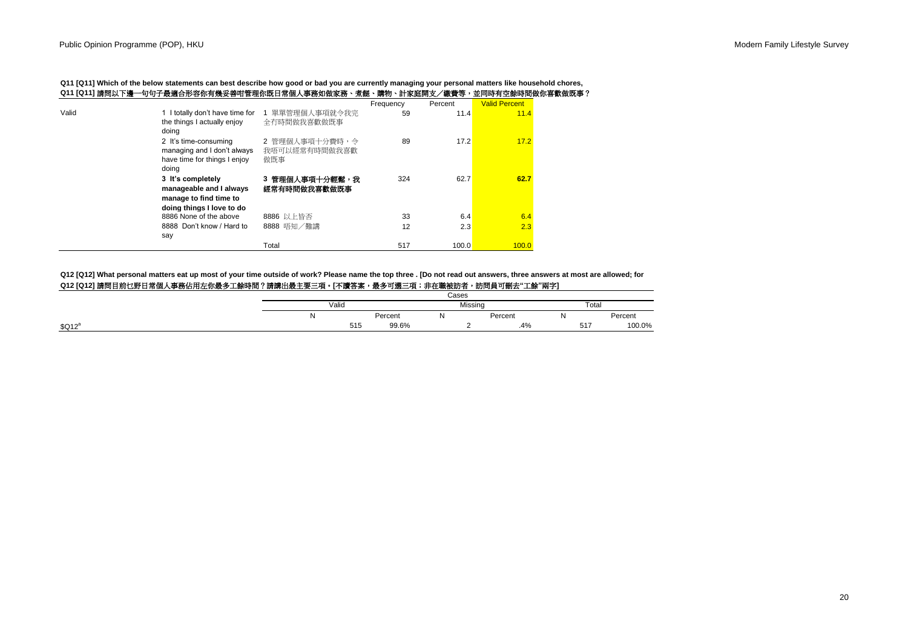**Q11 [Q11] Which of the below statements can best describe how good or bad you are currently managing your personal matters like household chores, Q11 [Q11]** 請問以下邊一句句子最適合形容你有幾妥善咁管理你既日常個人事務如做家務、煮餸、購物、計家庭開支/繳費等,並同時有空餘時間做你喜歡做既事?

|       |                                 |                 | Frequency | Percent | <b>Valid Percent</b> |  |
|-------|---------------------------------|-----------------|-----------|---------|----------------------|--|
| Valid | 1 I totally don't have time for | 1 單單管理個人事項就今我完  | 59        | 11.4    | 11.4                 |  |
|       | the things I actually enjoy     | 全冇時間做我喜歡做既事     |           |         |                      |  |
|       | doing                           |                 |           |         |                      |  |
|       | 2 It's time-consuming           | 2 管理個人事項十分費時, 令 | 89        | 17.2    | 17.2                 |  |
|       | managing and I don't always     | 我唔可以經常有時間做我喜歡   |           |         |                      |  |
|       | have time for things I enjoy    | 做既事             |           |         |                      |  |
|       | doing                           |                 |           |         |                      |  |
|       |                                 |                 |           |         |                      |  |
|       | 3 It's completely               | 3 管理個人事項十分輕鬆,我  | 324       | 62.7    | 62.7                 |  |
|       | manageable and I always         | 經常有時間做我喜歡做既事    |           |         |                      |  |
|       | manage to find time to          |                 |           |         |                      |  |
|       | doing things I love to do       |                 |           |         |                      |  |
|       | 8886 None of the above          | 8886 以上皆否       | 33        | 6.4     | 6.4                  |  |
|       | 8888 Don't know / Hard to       | 8888 唔知/難講      | 12        | 2.3     | 2.3                  |  |
|       |                                 |                 |           |         |                      |  |
|       | say                             |                 |           |         |                      |  |
|       |                                 | Total           | 517       | 100.0   | 100.0                |  |

**Q12 [Q12] What personal matters eat up most of your time outside of work? Please name the top three . [Do not read out answers, three answers at most are allowed; for**

# **Q12 [Q12]** 請問目前乜野日常個人事務佔用左你最多工餘時間?請講出最主要三項。**[**不讀答案,最多可選三項;非在職被訪者,訪問員可刪去**"**工餘**"**兩字**]**

|                    |       |     |         | Cases   |  |         |       |         |  |
|--------------------|-------|-----|---------|---------|--|---------|-------|---------|--|
|                    | Valid |     |         | Missing |  |         | Total |         |  |
|                    | N     |     | Percent | w       |  | Percent |       | Percent |  |
| \$Q12 <sup>8</sup> |       | 515 | 99.6%   |         |  | .4%     | 517   | 100.0%  |  |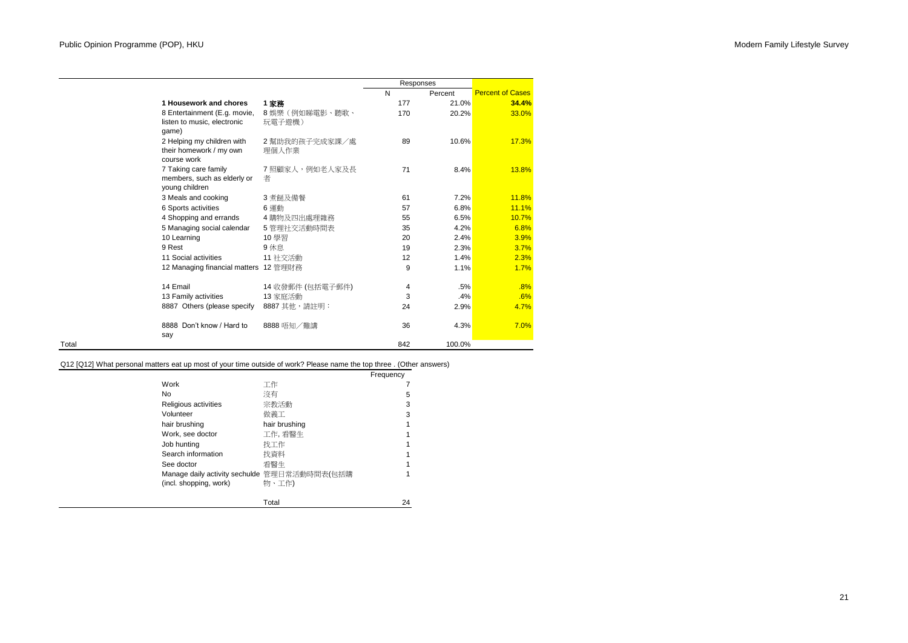|                                                                       |                         | Responses |         |                         |
|-----------------------------------------------------------------------|-------------------------|-----------|---------|-------------------------|
|                                                                       |                         | N         | Percent | <b>Percent of Cases</b> |
| 1 Housework and chores                                                | 1 家務                    | 177       | 21.0%   | 34.4%                   |
| 8 Entertainment (E.g. movie,<br>listen to music, electronic<br>qame)  | 8娛樂(例如睇電影、聽歌、<br>玩電子遊機) | 170       | 20.2%   | 33.0%                   |
| 2 Helping my children with<br>their homework / my own<br>course work  | 2 幫助我的孩子完成家課/處<br>理個人作業 | 89        | 10.6%   | 17.3%                   |
| 7 Taking care family<br>members, such as elderly or<br>young children | 7 照顧家人,例如老人家及長<br>者     | 71        | 8.4%    | 13.8%                   |
| 3 Meals and cooking                                                   | 3 煮餸及備餐                 | 61        | 7.2%    | 11.8%                   |
| 6 Sports activities                                                   | 6 運動                    | 57        | 6.8%    | 11.1%                   |
| 4 Shopping and errands                                                | 4 購物及四出處理雜務             | 55        | 6.5%    | 10.7%                   |
| 5 Managing social calendar                                            | 5 管理社交活動時間表             | 35        | 4.2%    | 6.8%                    |
| 10 Learning                                                           | 10 學習                   | 20        | 2.4%    | 3.9%                    |
| 9 Rest                                                                | 9 休息                    | 19        | 2.3%    | 3.7%                    |
| 11 Social activities                                                  | 11 社交活動                 | 12        | 1.4%    | 2.3%                    |
| 12 Managing financial matters 12 管理財務                                 |                         | 9         | 1.1%    | 1.7%                    |
| 14 Email                                                              | 14 收發郵件 (包括電子郵件)        | 4         | .5%     | .8%                     |
| 13 Family activities                                                  | 13 家庭活動                 | 3         | .4%     | .6%                     |
| 8887 Others (please specify                                           | 8887 其他, 請註明:           | 24        | 2.9%    | 4.7%                    |
| 8888 Don't know / Hard to<br>say                                      | 8888 唔知/難講              | 36        | 4.3%    | 7.0%                    |
|                                                                       |                         | 842       | 100.0%  |                         |

Total

# Q12 [Q12] What personal matters eat up most of your time outside of work? Please name the top three . (Other answers)

|                                                                        |               | Frequency |
|------------------------------------------------------------------------|---------------|-----------|
| Work                                                                   | 工作            |           |
| No.                                                                    | 沒有            | 5         |
| Religious activities                                                   | 宗教活動          | 3         |
| Volunteer                                                              | 做義工           | 3         |
| hair brushing                                                          | hair brushing |           |
| Work, see doctor                                                       | 工作,看醫生        |           |
| Job hunting                                                            | 找工作           |           |
| Search information                                                     | 找資料           |           |
| See doctor                                                             | 看翳牛           |           |
| Manage daily activity sechulde 管理日常活動時間表(包括購<br>(incl. shopping, work) | 物、工作)         |           |
|                                                                        | Total         | 24        |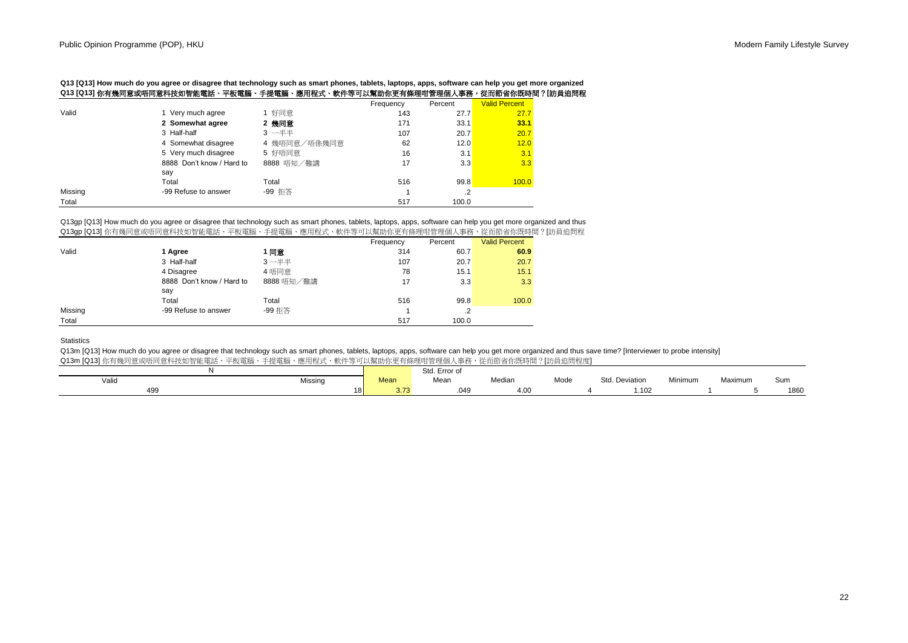**Q13 [Q13] How much do you agree or disagree that technology such as smart phones, tablets, laptops, apps, software can help you get more organized Q13 [Q13]** 你有幾同意或唔同意科技如智能電話、平板電腦、手提電腦、應用程式、軟件等可以幫助你更有條理咁管理個人事務,從而節省你既時間?**[**訪員追問程

|         | -23-40-2                  | $\mu$ and $\mu$ is the set of $\mu$ |           |            | <b>K.IN W E KIWIN IN LA</b> |
|---------|---------------------------|-------------------------------------|-----------|------------|-----------------------------|
|         |                           |                                     | Frequency | Percent    | <b>Valid Percent</b>        |
| Valid   | 1 Very much agree         | 1 好同意                               | 143       | 27.7       | 27.7                        |
|         | 2 Somewhat agree          | 2 幾同意                               | 171       | 33.1       | 33.1                        |
|         | 3 Half-half               | 3 一半半                               | 107       | 20.7       | 20.7                        |
|         | 4 Somewhat disagree       | 4 幾唔同意/唔係幾同意                        | 62        | 12.0       | 12.0                        |
|         | 5 Very much disagree      | 5 好唔同意                              | 16        | 3.1        | 3.1                         |
|         | 8888 Don't know / Hard to | 8888 唔知/難講                          | 17        | 3.3        | 3.3                         |
|         | say                       |                                     |           |            |                             |
|         | Total                     | Total                               | 516       | 99.8       | 100.0                       |
| Missing | -99 Refuse to answer      | -99 拒答                              |           | $\cdot$ .2 |                             |
| Total   |                           |                                     | 517       | 100.0      |                             |

#### Q13gp [Q13] How much do you agree or disagree that technology such as smart phones, tablets, laptops, apps, software can help you get more organized and thus Q13gp [Q13] 你有幾同意或唔同意科技如智能電話、平板電腦、手提電腦、應用程式、軟件等可以幫助你更有條理咁管理個人事務,從而節省你既時間?[訪員追問程

|         |                           |            | Frequency | Percent | <b>Valid Percent</b> |
|---------|---------------------------|------------|-----------|---------|----------------------|
| Valid   | 1 Agree                   | 1同意        | 314       | 60.7    | 60.9                 |
|         | 3 Half-half               | $3 - ##$   | 107       | 20.7    | 20.7                 |
|         | 4 Disagree                | 4 唔同意      | 78        | 15.1    | 15.1                 |
|         | 8888 Don't know / Hard to | 8888 唔知/難講 | 17        | 3.3     | 3.3                  |
|         | say                       |            |           |         |                      |
|         | Total                     | Total      | 516       | 99.8    | 100.0                |
| Missing | -99 Refuse to answer      | -99 拒答     |           | .2      |                      |
| Total   |                           |            | 517       | 100.0   |                      |

## **Statistics**

Q13m [Q13] How much do you agree or disagree that technology such as smart phones, tablets, laptops, apps, software can help you get more organized and thus save time? [Interviewer to probe intensity] Q13m [Q13] 你有幾同意或唔同意科技如智能電話、平板電腦、手提電腦、應用程式、軟件等可以幫助你更有條理咁管理個人事務,從而節省你既時間?[訪員追問程度]

|       |                 |      | Std. Error of |                |      |                |         |         |      |
|-------|-----------------|------|---------------|----------------|------|----------------|---------|---------|------|
| Valid | Missing         | Mean | Mean          | Median         | Mode | Std. Deviation | Minimum | Maximum | Sun. |
| 499   | 18 <sub>1</sub> | 3.73 | .049          | $\sim$<br>4.VV |      |                | 1.102   |         | 1860 |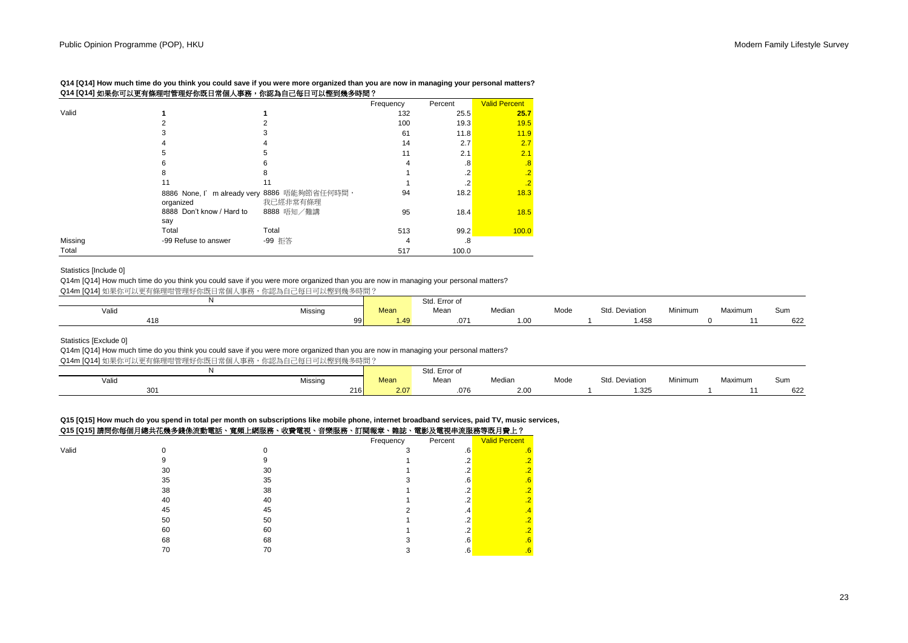**Q14 [Q14] How much time do you think you could save if you were more organized than you are now in managing your personal matters? Q14 [Q14]** 如果你可以更有條理咁管理好你既日常個人事務,你認為自己每日可以慳到幾多時間?

|         |                                                           |            | Frequency | Percent | <b>Valid Percent</b> |
|---------|-----------------------------------------------------------|------------|-----------|---------|----------------------|
| Valid   |                                                           |            | 132       | 25.5    | 25.7                 |
|         | 2                                                         | 2          | 100       | 19.3    | 19.5                 |
|         | 3                                                         | 3          | 61        | 11.8    | 11.9                 |
|         | 4                                                         |            | 14        | 2.7     | 2.7                  |
|         | 5                                                         | 5          | 11        | 2.1     | 2.1                  |
|         | 6                                                         | 6          | 4         | .8      | $\cdot^8$            |
|         | 8                                                         | 8          |           | .2      | $\cdot$              |
|         | 11                                                        | 11         |           | $\cdot$ | $\overline{.2}$      |
|         | 8886 None, I' m already very 8886 唔能夠節省任何時間,<br>organized | 我已經非常有條理   | 94        | 18.2    | 18.3                 |
|         | 8888 Don't know / Hard to<br>say                          | 8888 唔知/難講 | 95        | 18.4    | 18.5                 |
|         | Total                                                     | Total      | 513       | 99.2    | 100.0                |
| Missing | -99 Refuse to answer                                      | -99 拒答     | 4         | .8      |                      |
| Total   |                                                           |            | 517       | 100.0   |                      |

## Statistics [Include 0]

Q14m [Q14] How much time do you think you could save if you were more organized than you are now in managing your personal matters?

Q14m [Q14] 如果你可以更有條理咁管理好你既日常個人事務,你認為自己每日可以慳到幾多時間?

|       |                 |      | Std. Error of |        |      |                     |         |         |     |
|-------|-----------------|------|---------------|--------|------|---------------------|---------|---------|-----|
| Valid | Missing         | Mean | Mean          | Median | Mode | Std<br>l. Deviation | Minimum | Maximum | Sum |
| 418   | aal<br>$\cdots$ | .49  | .07'          | 1.00   |      | .458،               |         |         | 622 |

Statistics [Exclude 0]

Q14m [Q14] How much time do you think you could save if you were more organized than you are now in managing your personal matters?

Q14m [Q14] 如果你可以更有條理咁管理好你既日常個人事務,你認為自己每日可以慳到幾多時間?

|       |         |             | Std. Error of |                  |      |                |         |         |     |
|-------|---------|-------------|---------------|------------------|------|----------------|---------|---------|-----|
| Valid | Missing | <b>Mean</b> | Mean          | Median           | Mode | Std. Deviation | Minimum | Maximum | Sum |
| 301   | 216     | 2.07        | .076          | 2.0 <sub>C</sub> |      | .325           |         |         | 622 |

**Q15 [Q15] How much do you spend in total per month on subscriptions like mobile phone, internet broadband services, paid TV, music services,**

| Q15 [Q15] 請問你每個月總共花幾多錢係流動電話、寬頻上網服務、收費電視、音樂服務、訂閱報章、雜誌、電影及電視串流服務等既月費上? |  |  |
|----------------------------------------------------------------------|--|--|
|                                                                      |  |  |

|       | ------<br>-----<br>$\cdots$<br>---- | ----<br>- | .<br>---<br>-------- | ------    |         | $-5.0$ , $-7.0$ , $-7.0$ , $-7.0$ , $-7.0$ |
|-------|-------------------------------------|-----------|----------------------|-----------|---------|--------------------------------------------|
|       |                                     |           |                      | Frequency | Percent | <b>Valid Percent</b>                       |
| Valid |                                     |           |                      |           | .6'     |                                            |
|       |                                     |           |                      |           |         |                                            |
|       | 30                                  | 30        |                      |           |         |                                            |
|       | 35                                  | 35        |                      |           | .o      | .b                                         |
|       | 38                                  | 38        |                      |           |         |                                            |
|       | 40                                  | 40        |                      |           |         |                                            |
|       | 45                                  | 45        |                      |           | .4      | .4                                         |
|       | 50                                  | 50        |                      |           |         |                                            |
|       | 60                                  | 60        |                      |           |         |                                            |
|       | 68                                  | 68        |                      |           | .6      | .b                                         |
|       | 70                                  | 70        |                      |           | .b      | .b                                         |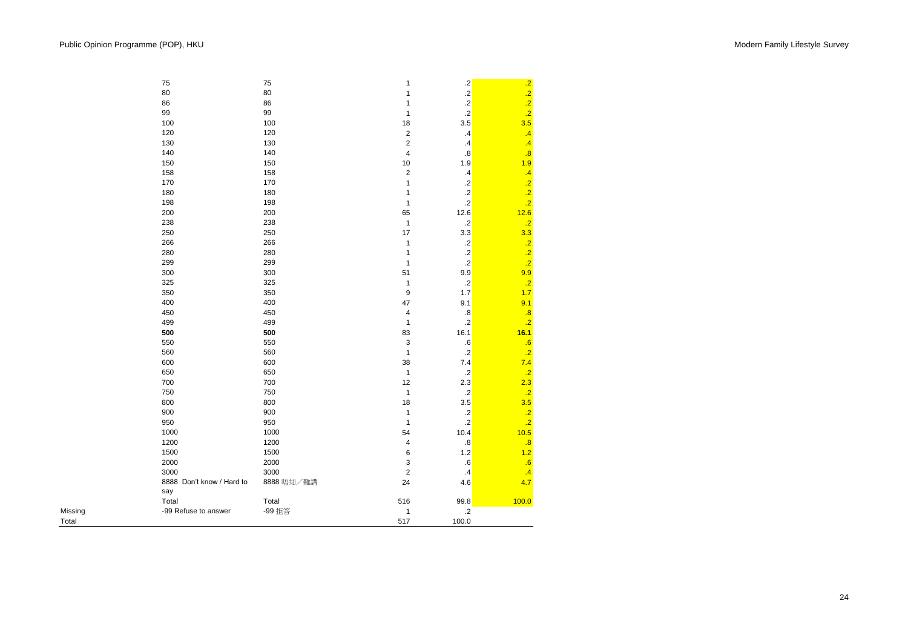Total

|         | 75                               | 75         | $\mathbf{1}$            | $\cdot$           |                                                |
|---------|----------------------------------|------------|-------------------------|-------------------|------------------------------------------------|
|         | 80                               | 80         | 1                       | .2 <sup>1</sup>   | $\begin{array}{c}\n 2 \\ 2 \\ 2\n \end{array}$ |
|         | 86                               | 86         | 1                       | $\cdot$           |                                                |
|         | 99                               | 99         | $\mathbf{1}$            | $\overline{.2}$   |                                                |
|         | 100                              | 100        | 18                      | 3.5               | 3.5                                            |
|         | 120                              | 120        | $\overline{\mathbf{c}}$ | $\cdot$ 4         | $\cdot$ 4                                      |
|         | 130                              | 130        | $\boldsymbol{2}$        | $\mathcal{A}$     | $\overline{.4}$                                |
|         | 140                              | 140        | 4                       | $\boldsymbol{.8}$ | $\overline{.8}$                                |
|         | 150                              | 150        | 10                      | 1.9               | 1.9                                            |
|         | 158                              | 158        | $\overline{\mathbf{c}}$ | $\mathcal{A}$     | $\overline{.4}$                                |
|         | 170                              | 170        | $\mathbf{1}$            | $\cdot$ .2        | $\frac{.2}{.2}$                                |
|         | 180                              | 180        | $\mathbf{1}$            | $\cdot$ .2        |                                                |
|         | 198                              | 198        | $\mathbf{1}$            | $\overline{.2}$   | $\overline{.2}$                                |
|         | 200                              | 200        | 65                      | 12.6              | 12.6                                           |
|         | 238                              | 238        | $\mathbf{1}$            | $\cdot$ .2        | .2                                             |
|         | 250                              | 250        | 17                      | 3.3               | 3.3                                            |
|         | 266                              | 266        | $\mathbf{1}$            | $\cdot$           |                                                |
|         | 280                              | 280        | $\mathbf{1}$            | $\cdot$           | $\frac{.2}{.2}$                                |
|         | 299                              | 299        | $\mathbf{1}$            | $\overline{.2}$   |                                                |
|         | 300                              | 300        | 51                      | 9.9               | 9.9                                            |
|         | 325                              | 325        | $\mathbf{1}$            | $\cdot$ .2        | $\overline{.2}$                                |
|         | 350                              | 350        | $\boldsymbol{9}$        | 1.7               | 1.7                                            |
|         | 400                              | 400        | 47                      | 9.1               | 9.1                                            |
|         | 450                              | 450        | $\overline{4}$          | $\boldsymbol{.8}$ | .8                                             |
|         | 499                              | 499        | $\mathbf{1}$            | $\cdot$ .2        | $\overline{.2}$                                |
|         | 500                              | 500        | 83                      | 16.1              | 16.1                                           |
|         | 550                              | 550        | 3                       | .6                | .6                                             |
|         | 560                              | 560        | $\mathbf{1}$            | $\cdot$ .2        | $\overline{.2}$                                |
|         | 600                              | 600        | 38                      | $7.4$             | 7.4                                            |
|         | 650                              | 650        | $\mathbf{1}$            | $\cdot$ .2        | $\overline{.2}$                                |
|         | 700                              | 700        | 12                      | 2.3               | 2.3                                            |
|         | 750                              | 750        | $\mathbf{1}$            | $\cdot$ .2        | $\overline{.2}$                                |
|         | 800                              | 800        | 18                      | 3.5               | 3.5                                            |
|         | 900                              | 900        | $\mathbf{1}$            | $\cdot$ .2        | $\overline{.2}$                                |
|         | 950                              | 950        | $\mathbf{1}$            | $\overline{.2}$   | $\overline{.2}$                                |
|         | 1000                             | 1000       | 54                      | 10.4              | 10.5                                           |
|         | 1200                             | 1200       | $\overline{\mathbf{4}}$ | $\boldsymbol{.8}$ | $\overline{.8}$                                |
|         | 1500                             | 1500       | 6                       | $1.2$             | 1.2                                            |
|         | 2000                             | 2000       | 3                       | .6                | .6                                             |
|         | 3000                             | 3000       | $\overline{c}$          | $\cdot$           | $\cdot$ 4                                      |
|         | 8888 Don't know / Hard to<br>say | 8888 唔知/難講 | 24                      | 4.6               | 4.7                                            |
|         | Total                            | Total      | 516                     | 99.8              | 100.0                                          |
| Missing | -99 Refuse to answer             | -99 拒答     | $\mathbf 1$             | $\cdot$           |                                                |
| Total   |                                  |            | 517                     | 100.0             |                                                |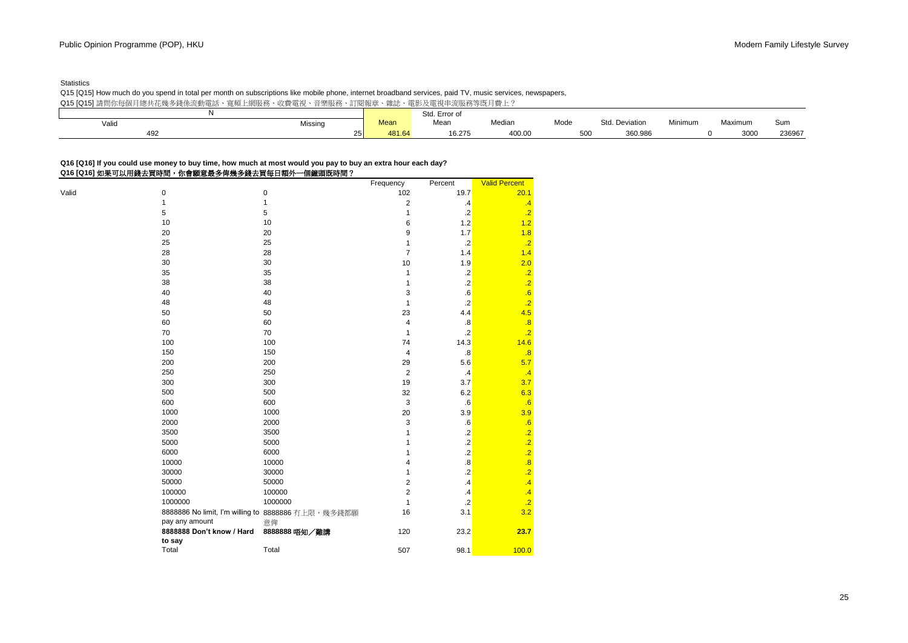## **Statistics**

Q15 [Q15] How much do you spend in total per month on subscriptions like mobile phone, internet broadband services, paid TV, music services, newspapers, Q15 [Q15] 請問你每個月總共花幾多錢係流動電話、寬頻上網服務、收費電視、音樂服務、訂閱報章、雜誌、電影及電視串流服務等既月費上?

|       | - 兄ツ米 - エミョリカメイカ<br>1人只 电 儿 | 日 木切入切<br>口」)  十K一十 | 不出口心   | 电彩火电光十小吹灯寸光引具工; |        |      |                |         |         |        |
|-------|-----------------------------|---------------------|--------|-----------------|--------|------|----------------|---------|---------|--------|
|       |                             |                     |        | Std. Error of   |        |      |                |         |         |        |
| Valic | Missing                     |                     | Mean   | Mean            | Median | Mode | Std. Deviation | Minimum | Maximum | Sum    |
| 492   |                             | 25 <sub>1</sub>     | 481.64 | 16.275          | 400.00 | 500  | 360.986        |         | 3000    | 236967 |
|       |                             |                     |        |                 |        |      |                |         |         |        |

# **Q16 [Q16] If you could use money to buy time, how much at most would you pay to buy an extra hour each day?**

# **Q16 [Q16]** 如果可以用錢去買時間,你會願意最多俾幾多錢去買每日額外一個鐘頭既時間?

|       |                                                     | Frequency                         | Percent           | <b>Valid Percent</b> |
|-------|-----------------------------------------------------|-----------------------------------|-------------------|----------------------|
| Valid | $\pmb{0}$<br>0                                      | 102                               | 19.7              | 20.1                 |
|       | $\mathbf{1}$<br>1                                   | $\overline{\mathbf{c}}$           | $\cdot$ 4         | $\cdot$              |
|       | 5<br>5                                              | 1                                 | $\cdot$ .2        | $\overline{.2}$      |
|       | 10<br>10                                            | 6                                 | $1.2$             | 1.2                  |
|       | 20<br>20                                            | 9                                 | 1.7               | 1.8                  |
|       | 25<br>25                                            | 1                                 | $\cdot$ .2        | .2                   |
|       | 28<br>28                                            | $\overline{7}$                    | 1.4               | 1.4                  |
|       | 30<br>30                                            | 10                                | 1.9               | 2.0                  |
|       | 35<br>35                                            | 1                                 | $.2\,$            | $\cdot$ .2           |
|       | 38<br>38                                            | 1                                 | $.2\,$            | $\overline{.2}$      |
|       | 40<br>40                                            | 3                                 | .6                | .6                   |
|       | 48<br>48                                            | $\mathbf{1}$                      | $\cdot$ .2        | $\cdot$ .2           |
|       | 50<br>50                                            | 23                                | 4.4               | 4.5                  |
|       | 60<br>60                                            | 4                                 | $\boldsymbol{.8}$ | .8                   |
|       | 70<br>70                                            | 1                                 | $\cdot$ .2        | $\overline{.2}$      |
|       | 100<br>100                                          | 74                                | 14.3              | 14.6                 |
|       | 150<br>150                                          | 4                                 | $\boldsymbol{.8}$ | .8                   |
|       | 200<br>200                                          | 29                                | 5.6               | 5.7                  |
|       | 250<br>250                                          | $\overline{2}$                    | $\cdot$ 4         | .4                   |
|       | 300<br>300                                          | 19                                | 3.7               | 3.7                  |
|       | 500<br>500                                          | 32                                | 6.2               | 6.3                  |
|       | 600<br>600                                          | 3                                 | ${\bf .6}$        | .6                   |
|       | 1000<br>1000                                        | 20                                | 3.9               | 3.9                  |
|       | 2000<br>2000                                        | 3                                 | ${\bf .6}$        | .6                   |
|       | 3500<br>3500                                        | 1                                 | $.2\,$            | $\overline{.2}$      |
|       | 5000<br>5000                                        | 1                                 | $.2\,$            | $\overline{.2}$      |
|       | 6000<br>6000                                        | 1                                 | $\cdot$ .2        | $\overline{.2}$      |
|       | 10000<br>10000                                      | $\overline{\mathbf{4}}$           | $\boldsymbol{.8}$ | .8                   |
|       | 30000<br>30000                                      | 1                                 | $\cdot$           | $\overline{.2}$      |
|       | 50000<br>50000                                      | $\overline{2}$                    | $\cdot$ 4         | $\cdot$              |
|       | 100000                                              | 100000<br>$\overline{\mathbf{c}}$ | $\cdot$           | .4                   |
|       | 1000000                                             | 1000000<br>1                      | $\cdot$ .2        | $\cdot$ .2           |
|       | 8888886 No limit, I'm willing to 8888886 有上限, 幾多錢都願 | 16                                | 3.1               | 3.2                  |
|       | pay any amount<br>意俾                                |                                   |                   |                      |
|       | 8888888 Don't know / Hard                           | 120<br>8888888 唔知/難講              | 23.2              | 23.7                 |
|       | to say                                              |                                   |                   |                      |
|       | Total<br>Total                                      | 507                               | 98.1              | 100.0                |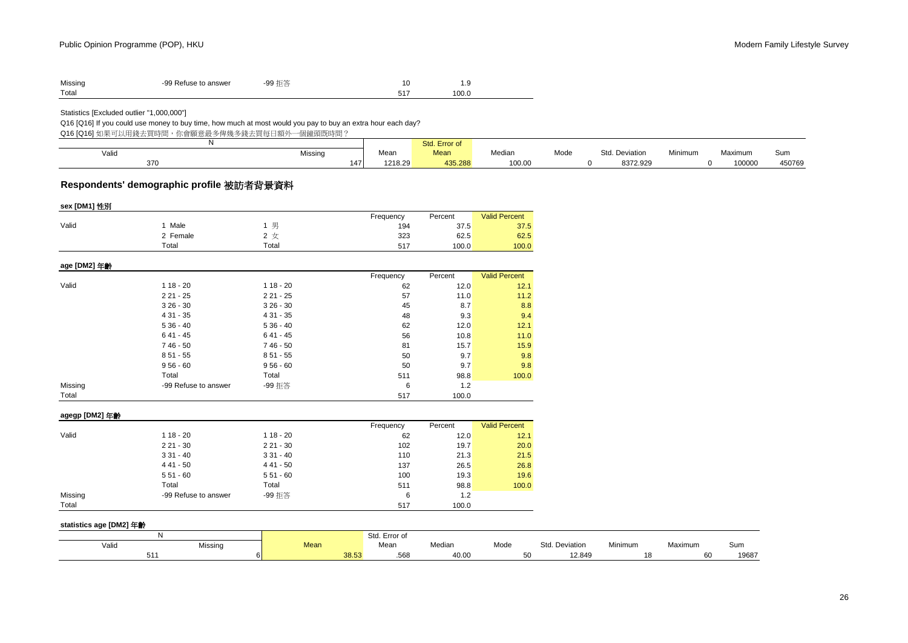| Missing | -99 Refuse to answer | -99 拒答 | ر .   |
|---------|----------------------|--------|-------|
| Total   |                      |        | 100.0 |

Statistics [Excluded outlier "1,000,000"]

## Q16 [Q16] If you could use money to buy time, how much at most would you pay to buy an extra hour each day?

Q16 [Q16] 如果可以用錢去買時間, 你會願意最多俾幾多錢去買每日額外一個鐘頭既時間?

|       |         |         | Std. Error of |        |      |                       |                |         |        |
|-------|---------|---------|---------------|--------|------|-----------------------|----------------|---------|--------|
| Valid | Missing | Mean    | <b>Mean</b>   | Median | Mode | J. Deviation<br>$C+A$ | <b>Minimum</b> | Maximum | Sum    |
| 370   | 147     | 1218.29 | 435.288       | 100.00 |      | 8372.929              |                | 100000  | 450769 |

# **Respondents' demographic profile** 被訪者背景資料

| sex [DM1] 性別   |                      |            |           |         |                      |
|----------------|----------------------|------------|-----------|---------|----------------------|
|                |                      |            | Frequency | Percent | <b>Valid Percent</b> |
| Valid          | 1 Male               | 1 男        | 194       | 37.5    | 37.5                 |
|                | 2 Female             | 2 女        | 323       | 62.5    | 62.5                 |
|                | Total                | Total      | 517       | 100.0   | 100.0                |
| age [DM2] 年齡   |                      |            |           |         |                      |
|                |                      |            | Frequency | Percent | <b>Valid Percent</b> |
| Valid          | $118 - 20$           | $118 - 20$ | 62        | 12.0    | 12.1                 |
|                | $221 - 25$           | $221 - 25$ | 57        | 11.0    | 11.2                 |
|                | $326 - 30$           | $326 - 30$ | 45        | 8.7     | 8.8                  |
|                | $431 - 35$           | $431 - 35$ | 48        | 9.3     | 9.4                  |
|                | $536 - 40$           | $536 - 40$ | 62        | 12.0    | 12.1                 |
|                | $641 - 45$           | $641 - 45$ | 56        | 10.8    | 11.0                 |
|                | 7 46 - 50            | $746 - 50$ | 81        | 15.7    | 15.9                 |
|                | $851 - 55$           | $851 - 55$ | 50        | 9.7     | 9.8                  |
|                | $956 - 60$           | $956 - 60$ | 50        | 9.7     | 9.8                  |
|                | Total                | Total      | 511       | 98.8    | 100.0                |
| Missing        | -99 Refuse to answer | -99 拒答     | 6         | $1.2$   |                      |
| Total          |                      |            | 517       | 100.0   |                      |
| agegp [DM2] 年齡 |                      |            |           |         |                      |
|                |                      |            | Frequency | Percent | <b>Valid Percent</b> |
| Valid          | $118 - 20$           | $118 - 20$ | 62        | 12.0    | 12.1                 |
|                | $221 - 30$           | $221 - 30$ | 102       | 19.7    | 20.0                 |
|                | $331 - 40$           | $331 - 40$ | 110       | 21.3    | 21.5                 |
|                | $441 - 50$           | $441 - 50$ | 137       | 26.5    | 26.8                 |
|                | $551 - 60$           | $551 - 60$ | 100       | 19.3    | 19.6                 |
|                | Total                | Total      | 511       | 98.8    | 100.0                |
| Missing        | -99 Refuse to answer | -99 拒答     | 6         | $1.2$   |                      |
| Total          |                      |            | 517       | 100.0   |                      |

#### **statistics age [DM2]** 年齡

|       |         |                | Std.<br>. Error of |        |      |                   |         |         |       |
|-------|---------|----------------|--------------------|--------|------|-------------------|---------|---------|-------|
| Valid | Missing | <b>Mean</b>    | Mean               | Median | Mode | Std.<br>Deviation | Minimum | Maximum | Sum   |
| 511   |         | 38.53<br>vo.or | .568               | 40.OC  | ູບປ  | 12.849            |         |         | 19687 |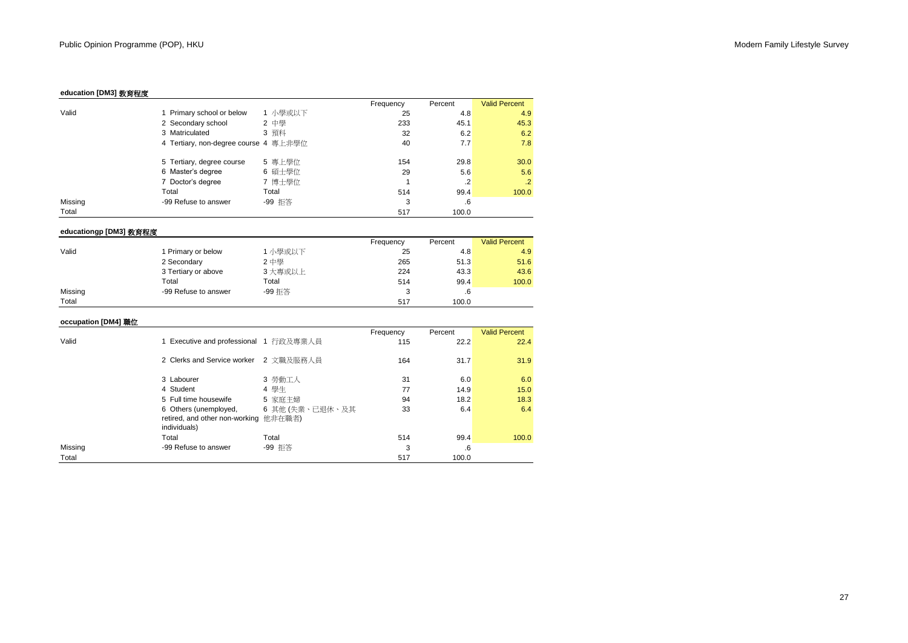# **education [DM3]** 教育程度

|         |                                       |         | Frequency | Percent   | <b>Valid Percent</b> |
|---------|---------------------------------------|---------|-----------|-----------|----------------------|
| Valid   | 1 Primary school or below             | 1 小學或以下 | 25        | 4.8       | 4.9                  |
|         | 2 Secondary school                    | 2 中學    | 233       | 45.1      | 45.3                 |
|         | 3 Matriculated                        | 3 預科    | 32        | 6.2       | 6.2                  |
|         | 4 Tertiary, non-degree course 4 專上非學位 |         | 40        | 7.7       | 7.8                  |
|         | 5 Tertiary, degree course             | 5 專上學位  | 154       | 29.8      | 30.0                 |
|         | 6 Master's degree                     | 6 碩士學位  | 29        | 5.6       | 5.6                  |
|         | 7 Doctor's degree                     | 7 博士學位  |           | $\cdot$ 2 | .2                   |
| Total   |                                       | Total   | 514       | 99.4      | 100.0                |
| Missing | -99 Refuse to answer                  | -99 拒答  | 3         | .6        |                      |
| Total   |                                       |         | 517       | 100.0     |                      |

# **educationgp [DM3]** 教育程度

|         |                      |         | Frequency | Percent | <b>Valid Percent</b> |
|---------|----------------------|---------|-----------|---------|----------------------|
| Valid   | Primary or below     | 1 小學或以下 | 25        | 4.8     | 4.9                  |
|         | 2 Secondary          | 2 中學    | 265       | 51.3    | 51.6                 |
|         | 3 Tertiary or above  | 3 大專或以上 | 224       | 43.3    | 43.6                 |
|         | Total                | Total   | 514       | 99.4    | 100.0                |
| Missing | -99 Refuse to answer | -99 拒答  |           | .6      |                      |
| Total   |                      |         | 517       | 100.0   |                      |

# **occupation [DM4]** 職位

|         |                                        |                 | Frequency | Percent | <b>Valid Percent</b> |
|---------|----------------------------------------|-----------------|-----------|---------|----------------------|
| Valid   | 1 Executive and professional 1 行政及專業人員 |                 | 115       | 22.2    | 22.4                 |
|         | 2 Clerks and Service worker            | 2 文職及服務人員       | 164       | 31.7    | 31.9                 |
|         | 3 Labourer                             | 3 勞動工人          | 31        | 6.0     | 6.0                  |
|         | 4 Student                              | 4 學生            | 77        | 14.9    | 15.0                 |
|         | 5 Full time housewife                  | 5 家庭主婦          | 94        | 18.2    | 18.3                 |
|         | 6 Others (unemployed,                  | 6 其他 (失業、已退休、及其 | 33        | 6.4     | 6.4                  |
|         | retired, and other non-working 他非在職者)  |                 |           |         |                      |
|         | individuals)                           |                 |           |         |                      |
|         | Total                                  | Total           | 514       | 99.4    | 100.0                |
| Missing | -99 Refuse to answer                   | -99 拒答          | 3         | .6      |                      |
| Total   |                                        |                 | 517       | 100.0   |                      |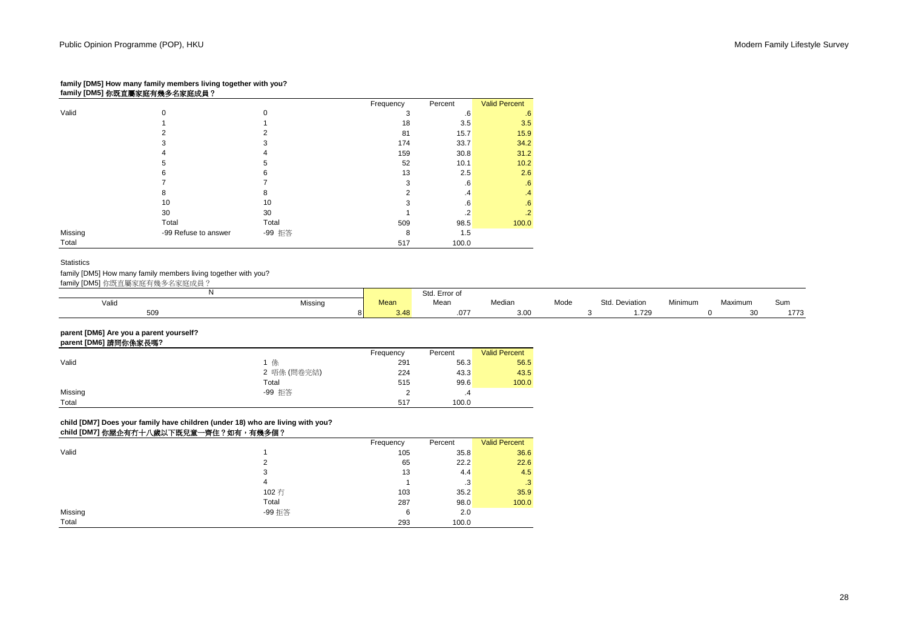## **family [DM5] How many family members living together with you? family [DM5]** 你既直屬家庭有幾多名家庭成員?

|                                                      |                      |        | Frequency | Percent | <b>Valid Percent</b> |
|------------------------------------------------------|----------------------|--------|-----------|---------|----------------------|
| Valid<br>0<br>2<br>3<br>4<br>5<br>6<br>8<br>10<br>30 |                      | O      | 3         | .6      | .6                   |
|                                                      |                      |        | 18        | 3.5     | 3.5                  |
|                                                      |                      | c      | 81        | 15.7    | 15.9                 |
|                                                      |                      | 3      | 174       | 33.7    | 34.2                 |
|                                                      |                      |        | 159       | 30.8    | 31.2                 |
|                                                      |                      | 5      | 52        | 10.1    | 10.2                 |
|                                                      |                      | 6      | 13        | 2.5     | 2.6                  |
|                                                      |                      |        |           | .6      | .6                   |
|                                                      |                      | 8      |           | .4      | $\cdot$ <sup>4</sup> |
|                                                      |                      | 10     |           | .6      | .6                   |
|                                                      |                      | 30     |           | .2      | $\cdot$ .2           |
|                                                      | Total                | Total  | 509       | 98.5    | 100.0                |
| Missing                                              | -99 Refuse to answer | -99 拒答 | 8         | 1.5     |                      |
| Total                                                |                      |        | 517       | 100.0   |                      |

## **Statistics**

family [DM5] How many family members living together with you?

family [DM5] 你既直屬家庭有幾多名家庭成員?

|       |         |      | Std. Error of |                |      |                             |         |         |             |
|-------|---------|------|---------------|----------------|------|-----------------------------|---------|---------|-------------|
| Valid | Missing | Mean | Mean          | Median         | Mode | $C+A$<br>l. Deviation<br>ചധ | Minimum | Maximum | Sum         |
| 509   |         | 3.48 | .077          | $\sim$<br>ບ.ບເ |      | 700<br>ے ، ۔ ا              |         | 20      | 1770<br>,,, |

**parent [DM6] Are you a parent yourself?**

#### **parent [DM6]** 請問你係家長嗎**?**

| .       |             |           |         |                      |
|---------|-------------|-----------|---------|----------------------|
|         |             | Frequency | Percent | <b>Valid Percent</b> |
| Valid   | 係           | 291       | 56.3    | 56.5                 |
|         | 2 唔係 (問卷完結) | 224       | 43.3    | 43.5                 |
|         | Total       | 515       | 99.6    | 100.0                |
| Missing | -99 拒答      |           | .4      |                      |
| Total   |             | 517       | 100.0   |                      |
|         |             |           |         |                      |

# **child [DM7] Does your family have children (under 18) who are living with you?**

# **child [DM7] 你屋企有冇十八歲以下既兒童一齊住?如有,有幾多個?**

|         |        | Frequency | Percent | <b>Valid Percent</b> |
|---------|--------|-----------|---------|----------------------|
| Valid   |        | 105       | 35.8    | 36.6                 |
|         | 2      | 65        | 22.2    | 22.6                 |
|         | 3      | 13        | 4.4     | 4.5                  |
|         | 4      |           | .3      | .3                   |
|         | 102 冇  | 103       | 35.2    | 35.9                 |
|         | Total  | 287       | 98.0    | 100.0                |
| Missing | -99 拒答 | 6         | 2.0     |                      |
| Total   |        | 293       | 100.0   |                      |